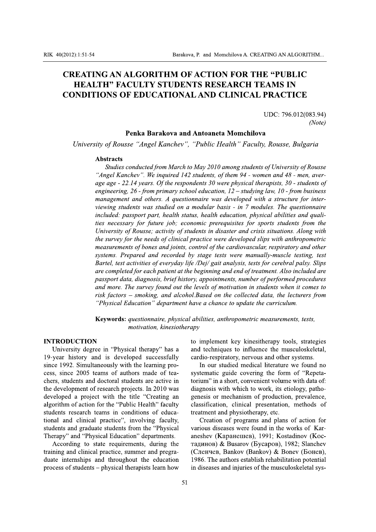# **CREATING AN ALGORITHM OF ACTION FOR THE "PUBLIC HEALTH" FACULTY STUDENTS RESEARCH TEAMS IN CONDITIONS OF EDUCATIONAL AND CLINICAL PRACTICE**

UDC: 796.012(083.94)  $(Note)$ 

### Penka Barakova and Antoaneta Momchilova

University of Rousse "Angel Kanchev", "Public Health" Faculty, Rousse, Bulgaria

### **Abstracts**

Studies conducted from March to May 2010 among students of University of Rousse "Angel Kanchev". We inquired 142 students, of them 94 - women and 48 - men, average age - 22.14 years. Of the respondents 30 were physical therapists, 30 - students of engineering, 26 - from primary school education,  $12 -$  studying law, 10 - from business management and others. A questionnaire was developed with a structure for interviewing students was studied on a modular basis - in 7 modules. The questionnaire included: passport part, health status, health education, physical abilities and qualities necessary for future job; economic prerequisites for sports students from the University of Rousse; activity of students in disaster and crisis situations. Along with the survey for the needs of clinical practice were developed slips with anthropometric measurements of bones and joints, control of the cardiovascular, respiratory and other systems. Prepared and recorded by stage tests were manually-muscle testing, test Bartel, test activities of everyday life /Dej/ gait analysis, tests for cerebral palsy. Slips are completed for each patient at the beginning and end of treatment. Also included are passport data, diagnosis, brief history, appointments, number of performed procedures and more. The survey found out the levels of motivation in students when it comes to risk factors – smoking, and alcohol.Based on the collected data, the lecturers from "Physical Education" department have a chance to update the curriculum.

Keywords: questionnaire, physical abilities, anthropometric measurements, tests, motivation, kinesiotherapy

### **INTRODUCTION**

University degree in "Physical therapy" has a 19-year history and is developed successfully since 1992. Simultaneously with the learning process, since 2005 teams of authors made of teachers, students and doctoral students are active in the development of research projects. In 2010 was developed a project with the title "Creating an algorithm of action for the "Public Health" faculty students research teams in conditions of educational and clinical practice", involving faculty, students and graduate students from the "Physical Therapy" and "Physical Education" departments.

According to state requirements, during the training and clinical practice, summer and pregraduate internships and throughout the education process of students – physical therapists learn how to implement key kinesitherapy tools, strategies and techniques to influence the musculoskeletal, cardio-respiratory, nervous and other systems.

In our studied medical literature we found no systematic guide covering the form of "Repetatorium" in a short, convenient volume with data of: diagnosis with which to work, its etiology, pathogenesis or mechanism of production, prevalence, classification, clinical presentation, methods of treatment and physiotherapy, etc.

Creation of programs and plans of action for various diseases were found in the works of Karaneshev (Каранешев), 1991; Kostadinov (Костадинов) & Busarov (Бусаров), 1982; Slanchev (Сленчев, Bankov (Bankov) & Bonev (Бонев), 1986. The authors establish rehabilitation potential in diseases and injuries of the musculoskeletal sys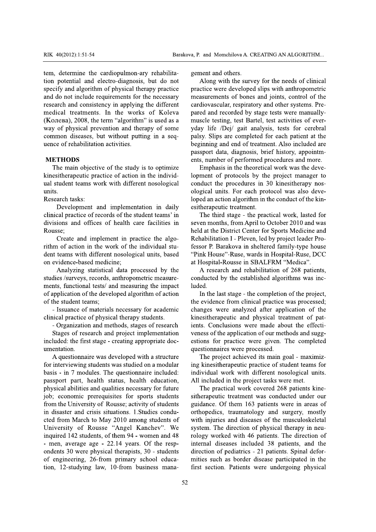tem, determine the cardiopulmon-ary rehabilitation potential and electro-diagnosis, but do not specify and algorithm of physical therapy practice and do not include requirements for the necessary research and consistency in applying the different medical treatments. In the works of Koleva (Колева), 2008, the term "algorithm" is used as a way of physical prevention and therapy of some common diseases, but without putting in a sequence of rehabilitation activities.

### **METHODS**

The main objective of the study is to optimize kinesitherapeutic practice of action in the individual student teams work with different nosological units.

Research tasks:

Development and implementation in daily clinical practice of records of the student teams' in divisions and offices of health care facilities in Rousse:

Create and implement in practice the algorithm of action in the work of the individual student teams with different nosological units, based on evidence-based medicine;

Analyzing statistical data processed by the studies /surveys, records, anthropometric measurements, functional tests/ and measuring the impact of application of the developed algorithm of action of the student teams:

- Issuance of materials necessary for academic clinical practice of physical therapy students.

- Organization and methods, stages of research

Stages of research and project implementation included: the first stage - creating appropriate documentation.

A questionnaire was developed with a structure for interviewing students was studied on a modular basis - in 7 modules. The questionnaire included: passport part, health status, health education, physical abilities and qualities necessary for future job; economic prerequisites for sports students from the University of Rousse; activity of students in disaster and crisis situations. 1. Studies conducted from March to May 2010 among students of University of Rousse "Angel Kanchev". We inquired 142 students, of them 94 - women and 48 - men, average age - 22.14 years. Of the respondents 30 were physical therapists, 30 - students of engineering, 26-from primary school education, 12-studying law, 10-from business management and others.

Along with the survey for the needs of clinical practice were developed slips with anthropometric measurements of bones and joints, control of the cardiovascular, respiratory and other systems. Prepared and recorded by stage tests were manuallymuscle testing, test Bartel, test activities of everyday life /Dej/ gait analysis, tests for cerebral palsy. Slips are completed for each patient at the beginning and end of treatment. Also included are passport data, diagnosis, brief history, appointments, number of performed procedures and more.

Emphasis in the theoretical work was the development of protocols by the project manager to conduct the procedures in 30 kinesitherapy nosological units. For each protocol was also developed an action algorithm in the conduct of the kinesitherapeutic treatment.

The third stage - the practical work, lasted for seven months, from April to October 2010 and was held at the District Center for Sports Medicine and Rehabilitation I - Pleven, led by project leader Professor P. Barakova in sheltered family-type house "Pink House"-Ruse, wards in Hospital-Ruse, DCC at Hospital-Rousse in SBALFRM "Medica".

A research and rehabilitation of 268 patients, conducted by the established algorithms was included.

In the last stage - the completion of the project, the evidence from clinical practice was processed; changes were analyzed after application of the kinesitherapeutic and physical treatment of patients. Conclusions were made about the effectiveness of the application of our methods and suggestions for practice were given. The completed questionnaires were processed.

The project achieved its main goal - maximizing kinesitherapeutic practice of student teams for individual work with different nosological units. All included in the project tasks were met.

The practical work covered 268 patients kinesitherapeutic treatment was conducted under our guidance. Of them 163 patients were in areas of orthopedics, traumatology and surgery, mostly with injuries and diseases of the musculoskeletal system. The direction of physical therapy in neurology worked with 46 patients. The direction of internal diseases included 38 patients, and the direction of pediatrics - 21 patients. Spinal deformities such as border disease participated in the first section. Patients were undergoing physical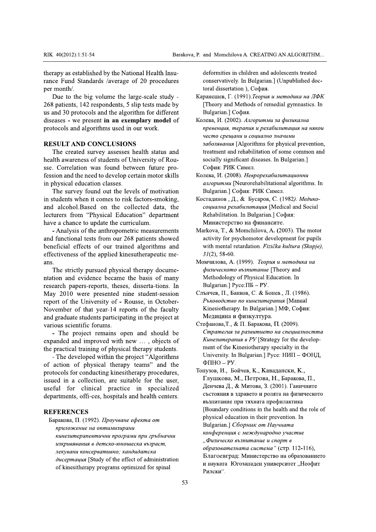RIK 40(2012):1:51-54<br>
Barakova, P. and Momchilova A. CREATING AN<br>
therapy as established by the National Health Insu-<br>
rance Fund Standards /average of 20 procedures<br>
per month/.<br>
Due to the big volume the large-scale stud

RIK 40(2012):1:51-54<br>therapy as established by the<br>rance Fund Standards /ave<br>per month/.<br>Due to the big volume<br>268 patients, 142 responde<br>us and 30 protocols and the<br>diseases - we present **in a**<br>protocols and algorithms u RIK 40(2012):1:51-54<br>therapy as established by the Nation<br>rance Fund Standards /average of<br>per month/.<br>Due to the big volume the larg<br>268 patients, 142 respondents, 5 slip<br>us and 30 protocols and the algorith<br>diseases - we RIK 40(2012):1:51-54<br>therapy as established by the National He<br>rance Fund Standards /average of 20 p<br>per month/.<br>Due to the big volume the large-sca<br>268 patients, 142 respondents, 5 slip tests<br>us and 30 protocols and the a RIK 40(2012):1:51-54<br>therapy as established by the National Health<br>rance Fund Standards /average of 20 proce<br>per month/.<br>Due to the big volume the large-scale s<br>268 patients, 142 respondents, 5 slip tests ma<br>us and 30 prot RIK 40(2012):1:51-54 Bara<br>therapy as established by the National Health Insu-<br>rance Fund Standards /average of 20 procedures<br>per month/.<br>Due to the big volume the large-scale study -<br>268 patients, 142 respondents, 5 slip t 40(2012):1:51-54 Barakova, P. and<br>
2012):1:51-54 Barakova, P. and<br>
2012) as established by the National Health Insu-<br>
2013 ce Fund Standards /average of 20 procedures<br>
2013 month/.<br>
2014 to the big volume the large-scale s Barakova, P. and M<br>
1:51-54 Barakova, P. and M<br>
tablished by the National Health Insu-<br>
Standards /average of 20 procedures conservant<br>
toral conservant of the large-scale study -<br>
142 respondents, 5 slip tests made by [Th Barakova, P. and Momchilova<br>
Ahed by the National Health Insu-<br>
lards /average of 20 procedures<br>
procedures<br>
procedures<br>
procedures<br>
procedures<br>
procedures<br>
procedures<br>
procedures,  $\Gamma$ . (19<br>
separation<br>
lards 5 slip tests RIK 40(2012):1:51-54<br>therapy as established by the<br>rance Fund Standards /avera<br>per month/.<br>Due to the big volume the<br>268 patients, 142 respondents<br>us and 30 protocols and the a<br>diseases - we present **in an**<br>protocols and a Bar Harapy as established by the National Health Insu-<br>therapy as established by the National Health Insu-<br>rance Fund Standards /average of 20 procedures<br>per month/.<br>Due to the big volume the large-scale study -<br>268 patien Example 1.1.51-54<br>
Example 1.1.51-54<br>
Example 2.1.51-54<br>
Example 2.1.51-54<br>
Example 2.1.51-54<br>
Example 2.1.51-54<br>
Example 2.1.51-54<br>
Example 2.1.51-54<br>
Frample 2.1.51<br>
The Director of 2.0 procedures<br>
2.8 patients, 142 resp (2012):1:51-54 Barakova, P. and Mome <br>
2012):1:51-54 Barakova, P. and Mome <br>
2012):1:51-54 Barakova, P. and Mome <br>
Fund Standards /average of 20 procedures conservati<br>
toral disse<br>
to the big volume the large-scale study Barakova, P. and Momchilov<br>
d by the National Health Insu-<br>
ds /average of 20 procedures<br>
conservatively.<br>
toral dissertatic<br>
colume the large-scale study -<br>
Kapaneures, T. (1<br>
spondents, 5 slip tests made by<br>
II (Theory a Barakova, P. and Momchilova<br>
the National Health Insu-<br>
alternative deformities in characterized by<br>
toral dissertation<br>
me the large-scale study -<br>
toral dissertation<br>
dents, 5 slip tests made by<br>
the algorithm for differ RIK 40(2012):1:51-54<br>therapy as established by t<br>rance Fund Standards /av<br>per month/.<br>Due to the big volume<br>268 patients, 142 responds<br>us and 30 protocols and th<br>diseases - we present in a<br>protocols and algorithms u<br>RESULT RIK 40(2012):1:51-54<br>therapy as established by the Nation<br>rance Fund Standards /average of<br>per month/.<br>Due to the big volume the large<br>268 patients, 142 respondents, 5 slip<br>us and 30 protocols and the algorith<br>diseases - w RIK 40(2012):1:51-54<br>therapy as established by the N:<br>rance Fund Standards /average<br>per month/.<br>Due to the big volume the<br>268 patients, 142 respondents, i<br>us and 30 protocols and the alg<br>diseases - we present in an ex<br>prot RIK 40(2012):1:51-54<br>therapy as established by the National<br>rance Fund Standards /average of 2(<br>per month/.<br>Due to the big volume the large-<br>268 patients, 142 respondents, 5 slip to<br>us and 30 protocols and the algorithm<br>di RIK 40(2012):1:51-54<br>
therapy as established by the National Health In<br>
rance Fund Standards /average of 20 proced<br>
per month/.<br>
Due to the big volume the large-scale stue<br>
268 patients, 142 respondents, 5 slip tests made<br> Ba<br>
RIK 40(2012):1:51-54 Ba<br>
therapy as established by the National Health Insu-<br>
rance Fund Standards /average of 20 procedures<br>
per month/.<br>
Due to the big volume the large-scale study -<br>
268 patients, 142 respondents, 5 Barakov<br>
IK 40(2012):1:51-54 Barakov<br>
erapy as established by the National Health Insu-<br>
nce Fund Standards /average of 20 procedures<br>
er month/.<br>
Due to the big volume the large-scale study -<br>
58 patients, 142 respondents Barakova,<br>
90(2012):1:51-54 Barakova,<br>
90(2012):1:51-54 Barakova,<br>
90(2012):1:51-54 Barakova,<br>
90(2012):1:51-54 Barakova,<br>
90(2012):1:51-54 Barakova,<br>
91(2012):1:51-54 Barakova,<br>
92(2012):1:51-54 Barakova,<br>
92(2012):1:51-5 2012):1:51-54 Barakova, P. a<br>
as established by the National Health Insu-<br>
fund Standards /average of 20 procedures<br>
onth/.<br>
to the big volume the large-scale study -<br>
tap<br>
ients, 142 respondents, 5 slip tests made by<br>
[3 Barakova, P. and M<br>
stablished by the National Health Insu-<br>
stablished by the National Health Insu-<br>
deform<br>
Standards /average of 20 procedures<br>
toral d<br>
the big volume the large-scale study -<br>
stapaneum<br>
s, 142 responde Barakova, P. and Mc<br>
ished by the National Health Insu-<br>
dards /average of 20 procedures conserv<br>
toral displaysing volume the large-scale study -<br>
2 respondents, 5 slip tests made by [Theory<br>
cols and the algorithm for di Barakova, P. and Momchilova<br>
shed by the National Health Insu-<br>
deformities in ch<br>
dards /average of 20 procedures<br>
g volume the large-scale study -<br>
toral dissertation<br>
g volume the large-scale study -<br>
Kapaнешев, Г. (19<br> RIK 40(2012):1:51-54<br>
therapy as established by the Nati<br>
rance Fund Standards /average<br>
per month/.<br>
Due to the big volume the la<br>
268 patients, 142 respondents, 5<br>
us and 30 protocols and the algor<br>
diseases - we present RIK 40(2012):1:51-54<br>
therapy as established by the National Healt<br>
rance Fund Standards /average of 20 proc<br>
per month/.<br>
Due to the big volume the large-scale<br>
268 patients, 142 respondents, 5 slip tests m<br>
us and 30 pro Ba<br>
RIK 40(2012):1:51-54 Ba<br>
therapy as established by the National Health Insu-<br>
rance Fund Standards /average of 20 procedures<br>
per month/.<br>
Due to the big volume the large-scale study -<br>
268 patients, 142 respondents, 5 EXECTED AND CONCLUSIONS<br>
EXECT AND SERVICE THE CREATED PROBLEM:<br>
EXECTED STATE STATE STATE STATE SPACE AT A SURVEY SPACE STATE SPACE STATES.<br>
SPACE AND SURVEY STATE SPACE STATE SPACE STATE SPACE STATE SPACE SPACE SPACE SPA Barakova, P. and<br>
s established by the National Health Insu-<br>
as established by the National Health Insu-<br>
def<br>
com<br>
of Standards /average of 20 procedures<br>
of the big volume the large-scale study -<br>
kapan<br>
mts, 142 respon Barakova, P. and Momchil<br>
ablished by the National Health Insu-<br>
tandards /average of 20 procedures<br>
toral dissertative<br>
toral dissertative<br>
toral dissertative<br>
toral dissertative<br>
tocols and the algorithm for different<br>
p Barakova, P. and Momchilova<br>
by the National Health Insu-<br>
deformities in cl<br>
average of 20 procedures<br>
toral dissertatior<br>
ume the large-scale study -<br>
toral dissertatior<br>
due algorithm for different<br>
due algorithm for di RIK 40(2012):1:51-54<br>
therapy as established by the National Heal<br>
rance Fund Standards /average of 20 pro<br>
per month/.<br>
Due to the big volume the large-scale<br>
268 patients, 142 respondents, 5 slip tests r<br>
us and 30 proto Bar Havanov as established by the National Health Insu-<br>therapy as established by the National Health Insu-<br>rance Fund Standards /average of 20 procedures<br>per month/.<br>Due to the big volume the large-scale study -<br>268 patie  $\times$  40(2012):1:51-54 Barako<br>
Barako<br>
erapy as established by the National Health Insu-<br>
nce Fund Standards /average of 20 procedures<br>
r month/.<br>
Due to the big volume the large-scale study -<br>
8 patients, 142 respondents, A0(2012):1:51-54 Barakova, P. and Momchi<br>
py as established by the National Health Insu-<br>
Fund Standards /average of 20 procedures conservative<br>
torn the big volume the large-scale study -<br>
Latients, 142 respondents, 5 sl Barakova, P. and Momchilo<br>
by the National Health Insu-<br>
s /average of 20 procedures<br>
toral dissertatively<br>
toral dissertatively<br>
toral dissertatively<br>
toral dissertatively<br>
toral dissertatively<br>
toral dissertatively<br>
cond Barakova, P. and Momchilova<br>
y the National Health Insu-<br>
deformities in ch<br>
deverage of 20 procedures<br>
toral dissertation<br>
me the large-scale study -<br>
dents, 5 slip tests made by<br>
the algorithm for different<br> **n** an exemp therapy as established by the<br>rance Fund Standards /ave:<br>per month/.<br>Due to the big volume<br>268 patients, 142 responden<br>us and 30 protocols and the<br>diseases - we present **in an**<br>protocols and algorithms us<br>**RESULT AND CONCL** therapy as established by the N.<br>
rance Fund Standards /average<br>
per month/.<br>
Due to the big volume the<br>
268 patients, 142 respondents,<br>
us and 30 protocols and the alg<br>
diseases - we present **in an ex**<br>
protocols and algo therapy as established by the National<br>
rance Fund Standards /average of 2<br>
per month/.<br>
Due to the big volume the large-<br>
268 patients, 142 respondents, 5 slip t<br>
us and 30 protocols and the algorithm<br>
diseases - we prese therapy as established by the National Hearten<br>
rance Fund Standards /average of 20 pr<br>
per month/.<br>
Due to the big volume the large-scal<br>
268 patients, 142 respondents, 5 slip tests<br>
us and 30 protocols and the algorithm therapy as established by the National Healt<br>rance Fund Standards /average of 20 proc<br>per month/.<br>Due to the big volume the large-scale<br>268 patients, 142 respondents, 5 slip tests m<br>us and 30 protocols and the algorithm fo Example and Standards (are proposed by the National Health Insu-<br>
therapy as established by the National Health Insu-<br>
per month/.<br>
Due to the big volume the large-scale study -<br>
268 patients, 142 respondents, 5 slip tests therapy as established by the Nat<br>rance Fund Standards /average<br>per month/.<br>Due to the big volume the 1<br>268 patients, 142 respondents, 5<br>us and 30 protocols and the algo<br>diseases - we present **in an exe**<br>protocols and algo therapy as established by the National He<br>rance Fund Standards /average of 20 p<br>per month/.<br>Due to the big volume the large-sca<br>268 patients, 142 respondents, 5 slip test<br>us and 30 protocols and the algorithm fo<br>diseases therapy as established by the National Health Insurance Fund Standards /average of 20 procedures<br>per month/.<br>Due to the big volume the large-scale study -<br>268 patients, 142 respondents, 5 slip tests made by<br>us and 30 proto apy as established by the National Health Insu-<br>
e Fund Standards /average of 20 procedures<br>
month/.<br>
bue to the big volume the large-scale study -<br>
patients, 142 respondents, 5 slip tests made by<br>
[Theory<br>
md 30 protocols rance Fund Standards /average of 20 procedures<br>per month/.<br>Due to the big volume the large-scale study -<br>268 patients, 142 respondents, 5 slip tests made by<br>us and 30 protocols and the algorithm for different<br>diseases - we per month/.<br>Due to the big volume the<br>268 patients, 142 respondents,<br>us and 30 protocols and the alg<br>diseases - we present **in an ex**<br>protocols and algorithms used<br>**RESULT AND CONCLUSIC**<br>The created survey assesse<br>health a per month/.<br>Due to the big volume the larg<br>268 patients, 142 respondents, 5 sli<br>us and 30 protocols and the algorit<br>diseases - we present **in an exem**<br>protocols and algorithms used in o<br>**RESULT AND CONCLUSIONS**<br>The created per month/.<br>Due to the big volume the large-s<br>268 patients, 142 respondents, 5 slip t<br>us and 30 protocols and the algorithm<br>diseases - we present **in an exempla**<br>protocols and algorithms used in our<br>**RESULT AND CONCLUSIONS** per month).<br>Due to the big volume the large-scale stt<br>268 patients, 142 respondents, 5 slip tests mad<br>us and 30 protocols and the algorithm for diff<br>diseases - we present **in an exemplary mod**<br>protocols and algorithms used per month/.<br>Due to the big volume the large-scale study -<br>268 patients, 142 respondents, 5 slip tests made by<br>us and 30 protocols and the algorithm for different<br>diseases - we present **in an exemplary model** of<br>protocols a month/.<br>Due to the big volume the large-scale study -<br>B patients, 142 respondents, 5 slip tests made by<br>and 30 protocols and the algorithm for different<br>eases - we present **in an exemplary model** of<br>tocols and algorithms u onth/.<br>
e to the big volume the large-scale study -<br>
intients, 142 respondents, 5 slip tests made by<br>
130 protocols and the algorithm for different<br>
es - we present **in an exemplary model** of<br>
cols and algorithms used in o <sup>to</sup><br>the big volume the large-scale study -<br>ts, 142 respondents, 5 slip tests made by [T<br>protocols and the algorithm for different Bu<br>we present **in an exemplary model** of Kone<br>and algorithms used in our work. *np*<br>and alg for al dissertation<br>
142 respondents, 5 slip tests made by<br>
otocols and the algorithm for different<br>
e present **in an exemplary model** of<br>
degriftms used in our work.<br> **ND CONCLUSIONS**<br> **ND CONCLUSIONS**<br> **ND CONCLUSIONS**<br>

Due to the big volume<br>268 patients, 142 responde<br>us and 30 protocols and th<br>diseases - we present in a<br>protocols and algorithms in<br>**RESULT AND CONCLI**<br>The created survey as<br>health awareness of studer<br>sse. Correlation was f Due to the big volume t<br>268 patients, 142 respondent<br>us and 30 protocols and the i<br>diseases - we present **in an**<br>protocols and algorithms use<br>**RESULT AND CONCLUS**<br>The created survey asses<br>health awareness of students<br>sse. Due to the big volume the large<br>268 patients, 142 respondents, 5 slip<br>us and 30 protocols and the algorith<br>diseases - we present **in an exempl**<br>protocols and algorithms used in our<br>**RESULT AND CONCLUSIONS**<br>The created surv Due to the big volume the large-se<br>268 patients, 142 respondents, 5 slip te<br>us and 30 protocols and the algorithm<br>indiseases - we present **in an exemplar**<br>protocols and algorithms used in our w<br>**RESULT AND CONCLUSIONS**<br>The Due to the big volume the large-scale study<br>268 patients, 142 respondents, 5 slip tests made b<br>us and 30 protocols and the algorithm for differer<br>diseases - we present **in an exemplary model** c<br>protocols and algorithms use Due to the big volume the large-scale study -<br>
268 patients, 142 respondents, 5 slip tests made by [T<br>
is and 30 protocols and the algorithm for different<br>
iseases - we present **in an exemplary model** of Kone<br>
protocols an e big volume the large-scale study -<br>
142 respondents, 5 slip tests made by [Theory and Me<br>
btocols and the algorithm for different Bulgarian.] Cop<br>
e present **in an exemplary model** of Konesa, *H.* (2002).<br>
algorithms us 268 patients, 142 responde<br>us and 30 protocols and the<br>diseases - we present **in a**<br>protocols and algorithms u<br>**RESULT AND CONCLU**<br>The created survey ass<br>health awareness of studen<br>sse. Correlation was foun<br>fession and the 268 patients, 142 respondents, 5 sl<br>us and 30 protocols and the algorit<br>diseases - we present **in an exem**<br>protocols and algorithms used in c<br>**RESULT AND CONCLUSIONS**<br>The created survey assesses h<br>health awareness of stude 268 patients, 142 respondents, 5 slip<br>us and 30 protocols and the algorith<br>diseases - we present **in an exemp**<br>protocols and algorithms used in ou<br>**RESULT AND CONCLUSIONS**<br>The created survey assesses he<br>health awareness of 268 patients, 142 respondents, 5 slip tests made by<br>us and 30 protocols and the algorithm for different<br>diseases - we present **in an exemplary model** of<br>protocols and algorithms used in our work.<br>**RESULT AND CONCLUSIONS**<br>T tients, 142 respondents, 5 slip tests made by<br>30 protocols and the algorithm for different<br>s - we present **in an exemplary model** of<br>lost and algorithms used in our work.<br>LT AND CONCLUSIONS<br>created survey assesses health s Is, 142 respondents, 5 slip tests made by<br>
protocols and the algorithm for different<br>
we present **in an exemplary model** of<br>
found algorithms used in our work.<br> **AND CONCLUSIONS**<br>
<br> **AND CONCLUSIONS**<br>
<br> **AND CONCLUSIONS**<br> Finally and the algorithm for different corocols and the algorithm for different we present **in an exemplary model** of  $\mu$ conesa, *H*. (*i* algorithms used in our work.  $\mu$  *mesenius*  $\mu$  *wecmo cpe*  $\mu$ **ND CONCLUSION** spondents, 5 slip tests made by<br>
and the algorithm for different<br>
the and the algorithm for different<br>
Bulgarian.] Codp<br>
thm **an exemplary model** of<br>
Koneba, *H.* (2002).<br>
thms used in our work.<br> *meeon cpeuquus, mepo*<br> us and 30 protocols and the diseases - we present in protocols and algorithms<br>protocols and algorithms<br>**RESULT AND CONCL**<br>The created survey as<br>health awareness of stude<br>sse. Correlation was fou<br>fession and the need to de<br> us and 30 protocols and the algorithm<br>diseases - we present **in an exemplar**<br>protocols and algorithms used in our v<br>**RESULT AND CONCLUSIONS**<br>The created survey assesses health<br>health awareness of students of Univer<br>see. Co us and 30 protocols and the algorithm for<br>diseases - we present **in an exemplary** in<br>protocols and algorithms used in our wor<br>**RESULT AND CONCLUSIONS**<br>The created survey assesses health s<br>health awareness of students of Un us and 30 protocols and the algorithm for c<br>diseases - we present **in an exemplary m**<br>protocols and algorithms used in our work<br>**RESULT AND CONCLUSIONS**<br>The created survey assesses health stand health awareness of students us and 30 protocols and the algorithm for different diseases - we present **in an exemplary model** c protocols and algorithms used in our work.<br> **RESULT AND CONCLUSIONS**<br>
The created survey assesses health status an health as and 30 protocols and the algorithm for different<br>diseases - we present **in an exemplary model** of<br>protocols and algorithms used in our work.<br>**RESULT AND CONCLUSIONS**<br>The created survey assesses health status and<br>nealth and 30 protocols and the algorithm for different<br>eases - we present **in an exemplary model** of<br>otocols and algorithms used in our work.<br>**ESULT AND CONCLUSIONS**<br>The created survey assesses health status and<br>alth awareness o and 30 protocols and the algorithm for different<br>asses - we present **in an exemplary model** of<br>tocols and algorithms used in our work.<br>**SULT AND CONCLUSIONS**<br>The created survey assesses health status and<br>th awareness of st Dependent of the algorithm for different<br>
Sulgarian.] Co<br>
Soloneouth **an exemplary model** of<br>
Soloneouth and algorithms used in our work.<br>
T<br> **AND CONCLUSIONS**<br>
Tradic survey assesses health status and<br>
treatment and the The algorithm for different<br> **EVISIONS**<br>
LUSIONS<br>
LUSIONS<br>
LUSIONS<br>
LUSIONS<br>
LUSIONS<br>
LUSIONS<br>
Sused in our work.<br>
The *veeling and of teatment and readment* and readment and readment and readment and readment and readment the algorithm for different<br>
an exemplary model of<br>
Ronesa, *H.* (2002).<br>
Simple of the Mugarian.] Coop<br>
since the our work.<br>
Mugarian. I Coop<br>
since the Mugarian and the teament and reference operating<br>
the socially sign diseases - we present in an exemple<br>protocols and algorithms used in our<br>**RESULT AND CONCLUSIONS**<br>The created survey assesses he<br>health awareness of students of Uni<br>sse. Correlation was found betwee<br>fession and the need to diseases - we present in an exemple<br>protocols and algorithms used in our<br>**RESULT AND CONCLUSIONS**<br>The created survey assesses hea<br>health awareness of students of Univ<br>sse. Correlation was found betwee<br>fession and the need diseases - we present in an exemplary model<br>protocols and algorithms used in our work.<br>**RESULT AND CONCLUSIONS**<br>The created survey assesses health status a<br>health awareness of students of University of Rc<br>see. Correlation diseases - we present in an exemplary model of<br>protocols and algorithms used in our work.<br>**RESULT AND CONCLUSIONS**<br>The created survey assesses health status and<br>health awareness of students of University of Rou-<br>sse. Corre eases - we present in an exemplary model of<br>tocols and algorithms used in our work.<br>SULT AND CONCLUSIONS<br>The created survey assesses health status and<br>alth awareness of students of University of Rou-<br>Correlation was found protocols and algorithms used<br>
RESULT AND CONCLUSIC<br>
The created survey assesse<br>
health awareness of students of<br>
sse. Correlation was found b<br>
fession and the need to develop<br>
in physical education classes.<br>
The survey fo protocols and algorithms used in our<br> **RESULT AND CONCLUSIONS**<br>
The created survey assesses heal<br>
health awareness of students of Universe.<br>
Correlation was found between<br>
fession and the need to develop certai<br>
in physica protocols and algorithms used in our work.<br> **RESULT AND CONCLUSIONS**<br>
The created survey assesses health status and<br>
health awareness of students of University of Rou-<br>
sse. Correlation was found between future pro-<br>
fessi ocols and algorithms used in our work.<br>
SULT AND CONCLUSIONS<br>
The created survey assesses health status and<br>
th awareness of students of University of Rou-<br>
Correlation was found between future pro-<br>
correlation was found cols and algorithms used in our work.<br>
JLT AND CONCLUSIONS<br>
e created survey assesses health status and<br>
awareness of students of University of Rou-<br>
Correlation was found between future pro-<br>
n and the need to develop cer but and algorithms used in our work.<br>
LT AND CONCLUSIONS<br>
created survey assesses health status and<br>
awareness of students of University of Rou-<br>
orrelation was found between future pro-<br>
and the need to develop certain mo and algorithms used in our work.<br> **AND CONCLUSIONS**<br>
reated survey assesses health status and<br>
rareness of students of University of Rou-<br>
elation was found between future pro-<br>
and the need to develop certain motor skills and algorithms used in our work.<br>
MOD CONCLUSIONS<br>
Example the status and<br>
areness of students of University of Routine<br>
areness of students of University of Routine in the treatment and realised survey assesses health st **RESULT AND CONCLUSIO**<br>The created survey assesses<br>health awareness of students of<br>sse. Correlation was found be<br>fession and the need to develop<br>in physical education classes.<br>The survey found out the le<br>in students when i **RESULT AND CONCLUSIONS**<br>The created survey assesses health<br>health awareness of students of Univers<br>sse. Correlation was found between<br>fession and the need to develop certain r<br>in physical education classes.<br>The survey fou **RESULT AND CONCLUSIONS**<br>The created survey assesses health status ar<br>health awareness of students of University of Rousse.<br>Correlation was found between future pre<br>fession and the need to develop certain motor skil<br>in phy **RESULT AND CONCLUSIONS**<br>
The created survey assesses health status and<br>
treatment and relation<br>
the created survey assesses health status and<br>
treatment and relation<br>
see. Correlation was found between future pro-<br>
Coopu **RESULT AND CONCLUSIO**<br>The created survey assesse<br>health awareness of students of<br>sse. Correlation was found be<br>fession and the need to develop<br>in physical education classes.<br>The survey found out the le<br>in students when it **RESULT AND CONCLUSIONS**<br>The created survey assesses heal<br>health awareness of students of Universe.<br>Correlation was found between<br>fession and the need to develop certai<br>in physical education classes.<br>The survey found out t **RESULT AND CONCLUSIONS**<br>The created survey assesses health st.<br>health awareness of students of University<br>sse. Correlation was found between fut<br>fession and the need to develop certain mo<br>in physical education classes.<br>Th **RESULT AND CONCLUSIONS**<br>The created survey assesses health status and<br>health awareness of students of University of Rou-<br>sse. Correlation was found between future pro-<br>fession and the need to develop certain motor skills<br> **SULT AND CONCLUSIONS**<br>The created survey assesses health status and<br>th awareness of students of University of Rou-<br>Correlation was found between future pro-<br>ion and the need to develop certain motor skills<br>hysical educati **TAND CONCLUSIONS**<br>created survey assesses health status and<br>wareness of students of University of Rou-<br>relation was found between future pro-<br>and the need to develop certain motor skills<br>cal education classes.<br>survey foun T AND CONCLUSIONS<br>
reated survey assesses health status and<br>
vareness of students of University of Rou-<br>
relation was found between future pro-<br>
and the need to develop certain motor skills<br>
al education classes.<br>
urvey fo **AND CONCLUSIONS**<br>
eated survey assesses health status and tre<br>
eated survey assesses health status and tre<br>
elation was found between future pro-<br>
cd the need to develop certain motor skills Kone:<br>
I education classes. a **EXERCISIONS**<br>
Example 20 Subsequent and the set of Sultaneon and Subsequent and the set of Sudents of University of Roussilly significion was found between future processes.<br>
Example 20 Subsequent and the set of develop and alcohol. Based on the collected data, the The created survey a<br>health awareness of stude<br>sse. Correlation was for<br>fession and the need to de<br>in physical education cla<br>The survey found our<br>in students when it come<br>and alcohol.Based on<br>lecturers from "Physica<br>have a The created survey as<br>health awareness of stude<br>sse. Correlation was fou<br>fession and the need to de<br>in physical education clas<br>The survey found out<br>in students when it comes<br>and alcohol.Based on<br>lecturers from "Physical<br>ha The created survey assesses<br>health awareness of students of<br>see. Correlation was found b<br>fession and the need to develop<br>in physical education classes.<br>The survey found out the 1<br>in students when it comes to ri<br>and alcohol The created survey assesses health status and<br>health awareness of students of University of Rou<br>sse. Correlation was found between future pro<br>fession and the need to develop certain motor skills<br>in physical education class The created survey assesses health status and<br>
intended and the social section was found between future pro-<br>
Codpasse. Correlation was found between future pro-<br>
Codpas<br>
The survey found out the levels of motivation<br>
In Survey assesses health status and<br>
treatment and<br>
of students of University of Rou-<br>
socially signif<br>
was found between future pro-<br>
Codpus: PHK<br>
eed to develop certain motor skills<br>
Koneba, H. (2008<br>
anzopumMu [N<br>
comes t assesses health status and<br>
treatment and relations of University of Rou-<br>
socially significa<br>
ound between future pro-<br>
Codpas: PIK Cu<br>
develop certain motor skills<br>
Koneba, H. (2008).<br>
asses.<br> *anzopumMu* [Net<br>
net the health awareness of students<br>sse. Correlation was found<br>fession and the need to devel<br>in physical education classes<br>The survey found out the<br>in students when it comes to<br>and alcohol.Based on the<br>lecturers from "Physical Ehealth awareness of students of Unive<br>see. Correlation was found between<br>fession and the need to develop certain<br>in physical education classes.<br>The survey found out the levels o<br>in students when it comes to risk fact<br>and a health awareness of students of University of Resources. Correlation was found between future p fession and the need to develop certain motor ski in physical education classes. The survey found out the levels of motivati i health awareness of students of University of Rousse. Correlation was found between future pro-<br>fession and the need to develop certain motor skills<br>in physical education classes.<br>The survey found out the levels of motivat alth awareness of students of University of Rou-<br>
.. Correlation was found between future pro-<br>
sion and the need to develop certain motor skills<br>
For the survey found out the levels of motivation<br>
The survey found out the The sense of students of University of Roussian<br>
ation was found between future pro-<br>
the need to develop certain motor skills<br>
Ronesa,<br>
education classes. and any<br>
wey found out the levels of motivation Bulga<br>
when it co sse. Correlation was found betw<br>fession and the need to develop ce<br>in physical education classes.<br>The survey found out the leve<br>in students when it comes to risk<br>and alcohol.Based on the coll<br>lecturers from "Physical Educa sse. Correlation was found between future<br>fession and the need to develop certain moto<br>in physical education classes.<br>The survey found out the levels of mot<br>in students when it comes to risk factors-sn<br>and alcohol.Based on sse. Correlation was found between future pro-<br>fession and the need to develop certain motor skills<br>in physical education classes.<br>The survey found out the levels of motivation<br>in students when it comes to risk factors-smo Compare and the need to develop certain motor skills<br>
ical education classes. The and the need to develop certain motor skills<br>
ical education classes. The antivation and the levels of motivation Bulg<br>
ents when it comes t of the applied therapy docume-<br>  $\gamma$  pursued physical therapy documes. The presented in the bases, and the collected data, the comparison of the anthropometric measurements of the anthropometric measurements of the anthro EVALUATE THE SACT AND REFINGED SOFTS. HAS A USE ON THE SEAL OF SACT AND RESPONSER A LONGING AND SURVEYOR, A L ON THE SACT AND NON-RESPONSIBLY A STOREM A SURVEYOR (STATE) And applied kinesulterappy docume-<br>
Section 1997 an Fractional between future pro-<br>
Lound between future pro-<br>
Lound between future pro-<br>
Lound between tuture pro-<br>
Lound the levels of motivation<br>
Bulgarian.] Code<br>
Musical Education" department<br>
cal Education" department<br>

fession and the need to develop certain<br>in physical education classes.<br>The survey found out the levels of<br>in students when it comes to risk facto<br>and alcohol.Based on the collected<br>lecturers from "Physical Education"<br>have fession and the need to develop certain m<br>in physical education classes.<br>The survey found out the levels of n<br>in students when it comes to risk factors-<br>and alcohol.Based on the collected<br>lecturers from "Physical Education tession and the need to develop certain motor skills<br>
in physical education classes. and<br>
in students when it comes to risk factors-smoking, <br>
in students when it comes to risk factors-smoking, <br>
Rocraz<br>
and alcohol.Based Fractritical motor skills cones a, *H.* (2008)<br>
acation classes. anti-community cone it comes to risk factors-smoking, based on the collected data, the community of Physical Education department<br>
to update the curriculum. evelop certain motor skills<br>
standard M. (2008).<br>
standard M. (2008).<br>
standard M. (2008).<br>
external Education's department<br>
defined at a, the collected data, the *coutaring* R. (1, 6<br>
defined at a coutaring Music and Pea in physical education class<br>The survey found out<br>in students when it comes<br>and alcohol.Based on t<br>lecturers from "Physical<br>have a chance to update th<br>- Analysis of the anthro<br>and functional tests from<br>beneficial effects of in physical education classes<br>The survey found out the<br>in students when it comes to<br>and alcohol.Based on the<br>lecturers from "Physical E-<br>have a chance to update the<br>- Analysis of the anthropo<br>and functional tests from ou<br>b In physical education classes.<br>The survey found out the leve<br>in students when it comes to risk<br>and alcohol.Based on the coll<br>lecturers from "Physical Educat<br>have a chance to update the curric<br>- Analysis of the anthropometr In physical education classes.<br>The survey found out the levels<br>in students when it comes to risk fa<br>and alcohol.Based on the collec<br>lecturers from "Physical Education<br>have a chance to update the curricul<br>- Analysis of the In physical education classes.<br>The survey found out the levels of<br>in students when it comes to risk facto<br>and alcohol.Based on the collected<br>lecturers from "Physical Education"<br>have a chance to update the curriculum<br>- Anal In physical education classes.<br>
The survey found out the levels of motivation<br>
in students when it comes to risk factors-smoking,<br>
and alcohol.Based on the collected data, the<br>
lecturers from "Physical Education" departmen cal education classes.  $\alpha$ <br>survey found out the levels of motivation B<br>mts when it comes to risk factors-smoking, Kocr<br>cohol.Based on the collected data, the cor-<br>school.Based on the collected data, the cor-<br>cohol.Based examplement lines and the levels of motivation<br>
Men it comes to risk factors-smoking,  $\mu$  and  $\mu$  and  $\mu$  and  $\mu$  and  $\mu$  and  $\mu$  and  $\mu$  and  $\mu$  and  $\mu$  and tests from our 268 patients showed and tests from our 2 The survey found our<br>in students when it come<br>and alcohol.Based on<br>lecturers from "Physica<br>have a chance to update<br>- Analysis of the anth<br>and functional tests from<br>beneficial effects of our<br>effectiveness of the appli<br>ans.<br> The survey found out the in students when it comes to and alcohol.Based on the lecturers from "Physical I have a chance to update the - Analysis of the anthrop and functional tests from our beneficial effects of our the ef The survey found out the lev<br>in students when it comes to risk<br>and alcohol.Based on the co<br>lecturers from "Physical Educa<br>have a chance to update the curr<br>- Analysis of the anthropome<br>and functional tests from our 26<br>benef The survey found out the level<br>in students when it comes to risk fa<br>and alcohol.Based on the colle<br>lecturers from "Physical Educatio<br>have a chance to update the curricu-<br>Analysis of the anthropometric<br>and functional tests The survey found out the levels of mot<br>in students when it comes to risk factors-sn<br>and alcohol.Based on the collected da<br>lecturers from "Physical Education" depa<br>have a chance to update the curriculum.<br>- Analysis of the a The survey found out the levels of motivation<br>in students when it comes to risk factors-smokin<br>and alcohol.Based on the collected data, the<br>lecturers from "Physical Education" departme<br>have a chance to update the curriculu The survey found out the levels of motivation<br>in students when it comes to risk factors-smoking<br>and alcohol.Based on the collected data, the<br>lecturers from "Physical Education" department<br>have a chance to update the curric The survey found out the levels of motivation<br>1 students when it comes to risk factors-smoking,<br>1 students when it comes to risk factors-smoking,<br>1 alcohol.Based on the collected data, the<br>1 current ave a chance to update survey found out the levels of motivation<br>
the survey found out the levels of motivation<br>
cohol.Based on the collected data, the<br>
s from "Physical Education" department<br>
chance to update the curriculum. M<br>
alysis of the a by found out the levels of motivation<br>
Algarithmentic comes to risk factors-smoking,<br>
Dased on the collected data, the<br>
m "Physical Education" department<br>
couptar m the couptate the curriculum.<br>
Sof the anthropometric meas Momphesized physical Education<br>
are of the collected data, the<br>
Physical Education" department<br>
Physical Education" department<br>
physical Education" department<br>
are contrained at the contrained peak<br>
states from our 268 pat The Hevels of motivation<br>
Set of risk factors-smoking, Kocraдинов, Д., &<br>
the collected data, the *социалиа рехаба*<br>
1 Education" department<br>
The curriculum. Mинистерство<br>
ropometric measurements Markova, T., & Mo<br>
nour 2 in students when it comes to<br>and alcohol.Based on the<br>lecturers from "Physical E<br>have a chance to update the<br>- Analysis of the anthrop-<br>and functional tests from ou<br>beneficial effects of our tr<br>effectiveness of the applied and alcohol.Based on the c<br>lecturers from "Physical Edu<br>have a chance to update the cu<br>- Analysis of the anthropom<br>and functional tests from our 2<br>beneficial effects of our train<br>effectiveness of the applied kir<br>ans.<br>The s and alcohol.Based on the collecte<br>lecturers from "Physical Education"<br>have a chance to update the curriculuu<br>- Analysis of the anthropometric m<br>and functional tests from our 268 pati<br>beneficial effects of our trained alg<br>e and alcohol.Based on the collected data,<br>lecturers from "Physical Education" depart<br>have a chance to update the curriculum.<br>- Analysis of the anthropometric measurem<br>and functional tests from our 268 patients sho<br>beneficia and alcohol.Based on the collected data, the<br>lecturers from "Physical Education" department<br>have a chance to update the curriculum.<br>- Analysis of the anthropometric measurements<br>and functional tests from our 268 patients s cohol.Based on the collected data, the<br>
s from "Physical Education" department<br>
hance to update the curriculum.<br>
Man<br>
alysis of the anthropometric measurements<br>
mand tests from our 268 patients showed<br>
ial effects of our t D. Based on the collected data, the<br>
om "Physical Education" department<br>
is of the anthropometric measurements<br>
is of the anthropometric measurements<br>
and tests from our 268 patients showed<br>
effects of our trained algori the collected data, the<br>
1 Education" department<br>
the curriculum. Munucrepcriso<br>
ropometric measurements Markova, T., & Mo<br>
n our 268 patients showed<br>
r trained algorithms and with mental reta-<br>
ied kinesutherapeutic meas lecturers from "Physical Education"<br>have a chance to update the curriculu<br>- Analysis of the anthropometric m<br>and functional tests from our 268 pat<br>beneficial effects of our trained alg<br>effectiveness of the applied kinesuth lecturers from "Physical Education" deplace a chance to update the curriculum.<br>- Analysis of the anthropometric measurement and functional tests from our 268 patients<br>beneficial effects of our trained algorith<br>effectivenes lecturers from "Physical Education" depart<br>have a chance to update the curriculum.<br>- Analysis of the anthropometric measurer<br>and functional tests from our 268 patients sh<br>beneficial effects of our trained algorithms<br>effect lecturers from "Physical Education" department<br>have a chance to update the curriculum.<br>- Analysis of the anthropometric measurement<br>and functional tests from our 268 patients showe<br>beneficial effects of our trained algorit lecturers from "Physical Education" department<br>have a chance to update the curriculum.<br>- Analysis of the anthropometric measurements<br>and functional tests from our 268 patients showed<br>beneficial effects of our trained algor Figure 1.1 The project state of the project state and the projects and the projects of the anthropometric measurements and increase it and the anthropometric measurements and iveness of the applied kinesutherapeutic me-<br>
n From "Physical Education" department<br>
since to update the curriculum. MANURE Mankova, T., & Mecchand tests from our 268 patients showed<br>
effects of our trained algorithms and<br>
since the applied kinesutherapeutic me-<br>
MOMU have a chance to update the - Analysis of the anthr<br>and functional tests from<br>beneficial effects of our<br>effectiveness of the applic<br>ans.<br>The strictly pursued p<br>ntation and evidence bec<br>research papers-reports,<br>May 2010 wer have a chance to update the<br>- Analysis of the anthrop<br>and functional tests from ou<br>beneficial effects of our treffectiveness of the applied<br>ans.<br>The strictly pursued phy<br>ntation and evidence becau<br>research papers-reports, have a chance to update the curriculuu<br>- Analysis of the anthropometric m<br>and functional tests from our 268 pati<br>beneficial effects of our trained alg<br>effectiveness of the applied kinesuthe<br>ans.<br>The strictly pursued physic have a chance to update the curriculum.<br>- Analysis of the anthropometric measu<br>and functional tests from our 268 patients<br>beneficial effects of our trained algorith<br>effectiveness of the applied kinesutherape<br>ans.<br>The stric have a chance to update the curriculum.<br>- Analysis of the anthropometric measurements<br>and functional tests from our 268 patients showed<br>beneficial effects of our trained algorithms and<br>effectiveness of the applied kinesuth e a chance to update the curriculum.<br>- Analysis of the anthropometric measurements<br>functional tests from our 268 patients showed<br>eficial effects of our trained algorithms and<br>cctiveness of the applied kinesutherapeutic mea chance to update the curriculum. Minalysis of the anthropometric measurements<br>
incident lest someon our 268 patients showed<br>
incial effects of our trained algorithms and<br>
inveness of the applied kinesutherapeutic me-<br>
n Example the curriculum.<br>
MHE of the anthropometric measurements<br>
of the anthropometric measurements<br>
dects of our trained algorithms and<br>
of the applied kinesutherapeutic me-<br>
of the applied kinesutherapeutic me-<br>
Momunt - Analysis of the anthropometric me<br>and functional tests from our 268 patie<br>beneficial effects of our trained algo<br>effectiveness of the applied kinesuther;<br>ans.<br>The strictly pursued physical thera<br>mataion and evidence beca - Analysis of the anthropometric measured and functional tests from our 268 patient<br>beneficial effects of our trained algori<br>effectiveness of the applied kinesutherap<br>ans.<br>The strictly pursued physical therapy<br>ntation and - Analysis of the anthropometric measurem<br>and functional tests from our 268 patients she<br>beneficial effects of our trained algorithms<br>effectiveness of the applied kinesutherapeutic<br>ans.<br>The strictly pursued physical therap - Analysis of the anthropometric measureme<br>and functional tests from our 268 patients show<br>beneficial effects of our trained algorithms a<br>effectiveness of the applied kinesutherapeutic n<br>ans.<br>The strictly pursued physical - Analysis of the anthropometric measurements<br>and functional tests from our 268 patients showed<br>beneficial effects of our trained algorithms and<br>effectiveness of the applied kinesutherapeutic me-<br>ans.<br>The strictly pursued - Analysis of the anthropometric measurements<br>
Ind functional tests from our 268 patients showed<br>
emeficial effects of our trained algorithms and<br>
Fectiveness of the applied kinesutherapeutic me-<br>
In<br>
Ins.<br>
The strictly pu Vysis of the anthropometric measurements<br>
I effects of our trained algorithms and<br>
mess of the applied kinesutherapeutic me-<br>
directly pursued physical therapy docume-<br>
directly pursued physical therapy docume-<br>
md eviden Markova, I.,<br>
rests from our 268 patients showed<br>
to activity for the applied kinesutherapeutic me-<br>
Momunnosa,<br>
pursued physical therapy docume-<br>
Momunnosa,<br>
pursued physical therapy docume-<br>
Momunnosa,<br>
Momunnosa,<br>
Momun anthropometric measurements<br>from our 268 patients showed<br>form our 268 patients showed<br>form trained algorithms and<br>applied kinesutherapeutic me-<br> $3I(2), 58-60.$ <br>MOMHINDBBA, A. (1<br>med physical therapy docume-<br> $\phi$ <br>momentos a and functional tests from<br>beneficial effects of our<br>effectiveness of the applic<br>ans.<br>The strictly pursued p<br>ntation and evidence bec<br>research papers-reports,<br>May 2010 were present<br>report of the University<br>November of that and functional tests from our 268 pa<br>beneficial effects of our trained al<br>effectiveness of the applied kinesuth<br>ans.<br>The strictly pursued physical the<br>ntation and evidence became the b<br>research papers-reports, theses, diss and functional tests from our 268 patients s<br>beneficial effects of our trained algorithm<br>effectiveness of the applied kinesutherapeut<br>ans.<br>The strictly pursued physical therapy do<br>ntation and evidence became the basis of<br>r and functional tests from our 268 patients showed<br>
beneficial effects of our trained algorithms and<br>
effectiveness of the applied kinesutherapeutic me-<br>
ans.<br>
The strictly pursued physical therapy docume-<br>
nation and evid all tests from our 268 patients showed<br>
ffects of our trained algorithms and<br>
ffects of our trained algorithms and<br>
with mental re<br>
MoMURUIOBA, A. (<br>
tly pursued physical therapy docume-<br>
evidence became the basis of many m our 268 patients showed<br>
activity for psyc.<br>
are trained algorithms and<br>
lied kinesutherapeutic me-<br>
MOMUHIJOBA, A. (19<br>
physical therapy docume-<br>  $\phi_{USU}$ , and the basis of many<br>
the basis of many<br>  $\phi_{USU}$ , theses, di benetical effectiveness of the applied k<br>ans. The strictly pursued phys<br>ntation and evidence becam<br>research papers-reports, thes<br>May 2010 were presented<br>report of the University of -<br>November of that year-14 r<br>and graduate beneficial effects of our trained<br>effectiveness of the applied kines<br>ans.<br>The strictly pursued physical<br>ntation and evidence became th<br>research papers-reports, theses,<br>May 2010 were presented nine<br>report of the University beneficial effects of our trained algorithms<br>effectiveness of the applied kinesutherapeutic<br>ans.<br>The strictly pursued physical therapy docu<br>ntation and evidence became the basis of r<br>research papers-reports, theses, disser beneficial effects of our trained algorithms and<br>effectiveness of the applied kinesutherapeutic me-<br>ans.<br>The strictly pursued physical therapy docume-<br>ntation and evidence became the basis of many<br>research papers-reports, The developed within the project "Algorithms"<br>
The developed windown and evidence became the basis of many<br>
non-<br>
and evidence became the basis of many<br>
non-<br>
and evidence became the basis of many<br>  $2010$  were presented n of our trained algorithms and<br>
the applied kinesutherapeutic me-<br>
MOMHINDBA, A. (<br>
ISON-BAD physical therapy docume-<br>
Photon-<br>
Photodology (eports, theses, disserta-tions. In Bulgarian.] Py<br>
presented nine student-sessio The absolute that the project of the settlem<br>and the set of the set of the set of the set of the set of the set of the set of the set of the set of the set of the set of the set of the set of the set of the set of the set effectiveness of the applied kinesuth<br>ans.<br>The strictly pursued physical the<br>ntation and evidence became the b<br>research papers-reports, theses, dis<br>Nay 2010 were presented nine s<br>report of the University of - Rousse<br>Novemb effectiveness of the applied kinesutherape<br>ans.<br>The strictly pursued physical therapy of<br>nation and evidence became the basis of<br>research papers-reports, theses, disserta-t-<br>May 2010 were presented nine student<br>report of t effectiveness of the applied kinesutherapeutic me-<br>
ans.<br>
The strictly pursued physical therapy docume-<br>
natation and evidence became the basis of many<br>
nexarch papers-reports, theses, disserta-tions. In<br>
May 2010 were pre The applied kinesutherapeutic me-<br>
Momunonsa, *A*<br>
pursued physical therapy docume-<br>
dence became the basis of many<br>
dence became the basis of many<br>
dentance became the basis of many<br>
Methodolog<br>
-reports, theses, dissert pplied kinesutherapeutic me-<br>
Monumonsa, A. (19<br>
became the basis of many<br>
became the basis of many<br>
became the basis of many<br>
Methodology of<br>
sented nine student-session<br>
sented nine student-session<br>
CTEHURB, IT., Банко<br> ans.<br>The strictly pursued physical the<br>ntation and evidence became the<br>research papers-reports, theses, dis<br>May 2010 were presented nine is<br>report of the University of - Rouss<br>November of that year-14 reports<br>and graduate ans.<br>The strictly pursued physical therapy docume<br>ntation and evidence became the basis of many<br>research papers-reports, theses, disserta-tions. In<br>May 2010 were presented nine student-session<br>report of the University of -The strictly pursued physical<br>ntation and evidence became th<br>research papers-reports, theses,<br>May 2010 were presented nin<br>report of the University of - Ro<br>November of that year-14 repor<br>and graduate students participatin<br>v The strictly pursued physical therap<br>
ntation and evidence became the basi<br>
research papers-reports, theses, dissert<br>
May 2010 were presented nine stude<br>
report of the University of - Rousse, it<br>
November of that year-14 r The strictly pursued physical therapy domatation and evidence became the basis of research papers-reports, theses, disserta-tion May 2010 were presented nine student-se report of the University of - Rousse, in Oct November The strictly pursued physical therapy docume-<br>ntation and evidence became the basis of many<br>research papers-reports, theses, disserta-tions. In<br>May 2010 were presented nine student-session<br>report of the University of - Rou strictly pursued physical therapy docume-<br>and evidence became the basis of many<br>and evidence became the basis of many<br>methodolo<br>h papers-reports, theses, disserta-tions. In<br>Bulgarian.]<br>O10 were presented nine student-sessi example and physical therapy docume-<br>
e became the basis of many<br>
methodology of<br>
e secented nine student-session<br>
sity of - Rousse, in October-<br>
example and should be the manning of physical therapy students.<br>
The mains o ntation and evidence be<br>research papers-reports,<br>May 2010 were presen<br>report of the University<br>November of that year-<br>and graduate students par<br>various scientific forums<br>- The project remain<br>expanded and improved<br>the pract ntation and evidence became t<br>research papers-reports, theses,<br>May 2010 were presented nin<br>report of the University of - Re<br>November of that year-14 repo<br>and graduate students participati<br>various scientific forums.<br>- The p ntation and evidence became the basis of m<br>research papers-reports, theses, disserta-tions.<br>May 2010 were presented nine student-sess<br>report of the University of - Rousse, in Octol<br>November of that year-14 reports of the f ntation and evidence became the basis of many<br>research papers-reports, theses, disserta-tions. In<br>May 2010 were presented nine student-session<br>report of the University of - Rousse, in October-<br>November of that year-14 repo and evidence became the basis of many<br>  $\mu$  papers-reports, theses, disserta-tions. In<br>  $\mu$  Dalgarian<br>  $\mu$  Dalgarian<br>  $\mu$  Or presented nine student-session<br>  $\sigma$  CTEHURE, II.<br>  $\sigma$  CTEHURE CONDIGE CONDIGE-<br>  $\sigma$  EXECTS Example the basis of many<br>
Methodology of<br>
orts, theses, disserta-tions. In<br>
methodology of<br>
resented nine student-session<br>
Figurian.] Pyce<br>
resented nine student-session<br>
CTEHTER, II., Банк<br>
versity of - Rousse, in Octob L-Markova, T., & Momchilova, *L*<br>
decivity for psychomotor de<br>
gorithms and<br>
with mental retardation. *Fiz*<br>
erapeutic me-<br>
MOMPHIDOBA, A. (1999). *Teopi*<br>
MOMPHIDOBA, A. (1999). *Teopi*<br>
asis of many<br>
Methodology of Physica

- The project remains open and should be

research papers-reports, the May 2010 were presente report of the University of November of that year-14 and graduate students particular various scientific forums.<br>- The project remains expanded and improved with practica research papers-reports, theses, dis<br>May 2010 were presented nine s<br>report of the University of - Rousse<br>November of that year-14 reports<br>and graduate students participating it<br>various scientific forums.<br>- The project rema research papers-reports, theses, disserta-tions. In<br>May 2010 were presented nine student-session<br>report of the University of - Rousse, in October-<br>November of that year-14 reports of the faculty<br>and graduate students parti n papers-reports, theses, disserta-tions. In<br>
1010 were presented nine student-session Cm<br>
of the University of - Rousse, in October-<br>
ber of that year-14 reports of the faculty<br>
duate students participating in the project phers-reports, theses, disserta-tions. In<br>
Were presented nine student-session<br>
of that year-14 reports of the faculty<br>
of that year-14 reports of the faculty<br>
of that year-14 reports of the faculty<br>
estudents participatin The sension of the sension of the sension of the sension of the sension of the faculty of - Rousse, in October-<br>
PERRECT THE CONSIDENT PERRECT TO THE PRECISION CONSIDERATION IN participating in the project at Mequuma a dy May 2010 were presented nin<br>report of the University of - Re<br>November of that year-14 repo<br>and graduate students participati<br>various scientific forums.<br>- The project remains ope<br>expanded and improved with no<br>the practical May 2010 were presented nine<br>report of the University of - Rous<br>November of that year-14 reports<br>and graduate students participating<br>various scientific forums.<br>- The project remains open is<br>expanded and improved with new<br> May 2010 were presented nine stum<br>report of the University of - Rousse.<br>November of that year-14 reports of<br>and graduate students participating in<br>various scientific forums.<br>- The project remains open and<br>expanded and imp May 2010 were presented nine studenty report of the University of - Rousse, November of that year-14 reports of and graduate students participating in the various scientific forums.<br>
- The project remains open and expande May 2010 were presented nine studen<br>report of the University of - Rousse, in<br>November of that year-14 reports of the<br>and graduate students participating in the p<br>various scientific forums.<br>- The project remains open and s May 2010 were presented nine student-session<br>report of the University of - Rousse, in October-<br>November of that year-14 reports of the faculty<br>and graduate students participating in the project at<br>various scientific forum 2010 were presented nine student-session<br>
t of the University of - Rousse, in October-<br>
ember of that year-14 reports of the faculty<br>
graduate students participating in the project at<br>
us scientific forums.<br>
The project re For presented nine student-session<br>
Alternative Consinues,<br>
the University of - Rousse, in October-<br>
of that year-14 reports of the faculty<br>
te students participating in the project at<br>
entific forums.<br>
Project remains op Expresented nine student-session<br>
iversity of - Rousse, in October-<br>
at year-14 reports of the faculty<br>
lents participating in the project at<br>
forums.<br>
Credpanosa, T., & I<br>
forums.<br>
Credpanosa, T., & I<br>
forums.<br>
Credpanos report of the University of - Rousse, in Octob<br>November of that year-14 reports of the fact<br>and graduate students participating in the projec<br>various scientific forums.<br>- The project remains open and should<br>expanded and i report of the University of - Rousse, in October-<br>November of that year-14 reports of the faculty<br>and graduate students participating in the project at<br>various scientific forums.<br>- The project remains open and should be<br>e ort of the University of - Rousse, in October-<br>vember of that year-14 reports of the faculty<br>d graduate students participating in the project at<br>cious scientific forums.<br>The project remains open and should be<br>panded and im NCES<br>
NECES<br>
The University of - Rousse, in October-<br>
The Show of that year-14 reports of the faculty<br>
the students participating in the project at<br>
original training of physical therapy students.<br>
Alternation and improved of action of physical therapy teams" and the November of that year-14 repo<br>and graduate students participatii<br>various scientific forums.<br>- The project remains oper<br>expanded and improved with ne<br>the practical training of physical<br>- The developed within the pr<br>of actio November of that year-14 reports of the faculty<br>and graduate students participating in the project at<br>various scientific forums.<br>- The project remains open and should be<br>expanded and improved with new ..., objects of<br>the ember of that year-14 reports of the faculty<br>graduate students participating in the project at<br>ous scientific forums. (<br>The project remains open and should be<br>unded and improved with new ..., objects of<br>practical training ENCES<br>
and Equipment of the state of the state students participating in the project at<br>
cientific forums.<br>
Project remains open and should be<br>
and improved with new ..., objects of *Kunesumne*<br>
cial training of physical t year-14 reports of the faculty<br>
ts participating in the project at Megangana, T., &<br>
remains open and should be Cmpamezua sa<br>
oved with new ..., objects of Kunesumepana<br>
g of physical therapy students. Then the Kinder<br>
wi and graduate students participal<br>various scientific forums.<br>- The project remains<br>expanded and improved with<br>the practical training of phys<br>- The developed within th<br>of action of physical ther<br>protocols for conducting kin and graduate students participating in the<br>various scientific forums.<br>- The project remains open and<br>expanded and improved with new ...,<br>the practical training of physical therapy<br>- The developed within the project " $\ell$ <br> and graduate students participating in the<br>various scientific forums.<br>- The project remains open and s<br>expanded and improved with new ..., the practical training of physical therapy<br>- The developed within the project "A<br>o and graduate students participating in the various scientific forums.<br>
- The project remains open and sl<br>
expanded and improved with new ..., c<br>
the practical training of physical therapy<br>
- The developed within the proje and graduate students participating in the project at<br>various scientific forums.<br>- The project remains open and should be<br>expanded and improved with new ..., objects of<br>the practical training of physical therapy students. d graduate students participating in the project at<br>
rious scientific forums. Cr<br>
- The project remains open and should be<br>
panded and improved with new ..., objects of<br>
e practical training of physical therapy students.<br> ate students participating in the project at<br>
ientific forums. Cre<br>
project remains open and should be<br>
and improved with new ..., objects of<br>
al training of physical therapy students.<br>
eveloped within the project "Algori Example the students participating in the project at<br>
estudents participating in the project at<br>
antific forums.<br>
Trepanosa,<br>
Trepanosa,<br>
I training of physical therapy students.<br>
I training of physical therapy students.<br> ts participating in the project at<br>
rums.<br>
Crepanosa, T., &<br>
cemains open and should be<br>  $\begin{array}{ccc}\n\text{Crepanoba}, \text{T}, \text{A}\n\end{array}$ <br>
area and should be<br>  $\begin{array}{ccc}\n\text{Crepanoba}, \text{T}, \text{A}\n\end{array}$ <br>
area and should be<br>  $\begin{array}{ccc}\n\text{Crepanoba}, \text$ various scientific forums.<br>
- The project remains<br>
expanded and improved w<br>
the practical training of phy<br>
- The developed within<br>
of action of physical the<br>
protocols for conducting kind<br>
issued in a collection, are<br>
usef various scientific forums.<br>
- The project remains of<br>
expanded and improved with<br>
the practical training of physic<br>
- The developed within the<br>
of action of physical therar<br>
protocols for conducting kiness<br>
issued in a co various scientific forums.<br>
- The project remains open and<br>
expanded and improved with new ...,<br>
the practical training of physical therapy<br>
- The developed within the project " $t$ <br>
of action of physical therapy teams"<br>
p Various scientific forums.<br>
- The project remains open and should<br>
expanded and improved with new ..., object<br>
the practical training of physical therapy stude<br>
- The developed within the project "Algori"<br>
of action of phy various scientific forums.<br>
- The project remains open and should be<br>
expanded and improved with new ..., objects of<br>
the practical training of physical therapy students.<br>
- The developed within the project "Algorithms<br>
of scientific forums.<br>
Second the project remains open and should be *Cmpan*<br>
ed and improved with new ..., objects of *Kunesu*<br>
ed and improved with new ..., objects of *Kunesu*<br>
edeveloped within the project "Algorithms Un France Comparison of the comparison of the comparison of the comparison of the comparison of the dwithin the project "Algorithms" and the dwithin the project "Algorithms" and the during kinesitherapy procedures, Tonyson, - The project remain<br>expanded and improved v<br>the practical training of pl<br>- The developed within<br>of action of physical th<br>protocols for conducting k<br>issued in a collection, ar<br>useful for clinical pr<br>departments, offi-ces, - The project remains oper<br>expanded and improved with ne<br>the practical training of physical<br>- The developed within the pro<br>of action of physical therapy<br>protocols for conducting kinesith<br>issued in a collection, are suita<br> - The project remains open and show<br>expanded and improved with new ..., obj<br>the practical training of physical therapy stu<br>- The developed within the project "Algo<br>of action of physical therapy teams" are<br>protocols for co - The project remains open and should be<br>expanded and improved with new ..., objects of<br>the practical training of physical therapy students.<br>- The developed within the project "Algorithms<br>of action of physical therapy tea

The project remains open and should be<br>
anded and improved with new ..., objects of  $W$ <br>
ractical training of physical therapy students.<br>
The developed within the project "Algorithms Un<br>
tion of physical therapy teams" an Differentially be the complement of the complementary of physical therapy students.<br>
Fraining of physical therapy students. Then the project "Algorithms" physical therapy teams" and the conducting kinesitherapy procedures Examplement and should be<br>
improved with new ..., objects of *Kunesume*<br>
ining of physical therapy students. Then tof the<br>
pped within the project "Algorithms University<br>
bhysical therapy teams" and the **CHIHO** –<br>
inductin emains open and should be<br>
by companies of physical therapy students.<br>
Example the K within the project "Algorithms<br>
cal therapy teams" and the<br>
ting kinesitherapy procedures,<br>
on, are suitable for the user,<br>
al practice the practical training of physical therapy s<br>
- The developed within the project "Al<br>
of action of physical therapy teams"<br>
protocols for conducting kinesitherapy pro<br>
issued in a collection, are suitable for<br>
useful for of action of physical therapy teams" and the<br>protocols for conducting kinesitherapy procedures, Tony30e<br>issued in a collection, are suitable for the user, Thypu<br>useful for clinical practice in specialized  $\mu_{\text{EPT}}$ <br>depa protocols for conducting kinesitherapy procedures,<br>issued in a collection, are suitable for the user,<br>useful for clinical practice in specialized<br>departments, offi-ces, hospitals and health centers.<br>**REFERENCES**<br>Баракова, issued in a collection, are suitable for the user,<br>
useful for clinical practice in specialized *Денчева Д.*,<br>
departments, offi-ces, hospitals and health centers.<br>
EVERENCES<br>
EBOURGAY CREFERENCES<br>
EBOURGAY CREFERENCES<br>
E whereas departments, offices, hospitals and health centers.<br>  $\begin{array}{ll}\n\text{REFERENCES} & \text{Bosnuntra} \\
\text{Bosnantra} & \text{Bosnuntra} \\
\text{Bogakoba, II. (1992). } \text{Ipopysane} \text{ e} \phi \text{e} \text{kma} \text{ om} \\
\text{mpuzosecune} \text{ na} \text{ on} \text{muusupan} \\
\text{kulesummepanewann} \text{ popasovian} & \text{physical} \text{ Bugariar} \\
\text$ departments, offi-ces, hospitals and health centers.<br>
BEFERENCES<br>
ERO ENGINEERENCES<br>
ERO ENGINEERENCES<br>
ERO ENGINEERENCES<br>
ENGINEERENCES<br>
ENGINEERENCES<br>
ENGINEERENCES<br>
DEPARTENCES<br>
ENGINEERENCES<br>
ENGINEERENCES<br>
ENGINEERENC REFERENCES<br>Баракова, П. (1992). Проучване ефекта от<br>приложение на оптимизирани<br>кинезитерапевтични програми при гръбначни<br>изкривявания в детско-юношеска възраст,<br>лекувани консервативно; кандидатска<br>дисертация [Study of the **ERENCES**<br>икова, П. (1992). *Проучване ефекта от*<br>риложение на оптимизирани<br>инезитерапевтични програми при гръбначни<br>вкривявания в детско-юношеска възраст,<br>кувани консервативно; кандидатска<br>исертация [Study of the effect **RENCES**<br>
Ова, П. (1992). *Проучване ефекта от*<br>
иложение на оптимизирани<br>
изитерапевтични програми при гръбначни<br>
ривявания в детско-юношеска възраст,<br>
увани консервативно; кандидатска<br>
кертация [Study of the effect of a **INCES**<br> **ISBENIMENT (BOUNDATY CONTROVER)**<br> **ISBENIMENT (BOUNDATY CONTROVER)**<br> *SKEPHILE INCREDISED (DIESPERIMED)*<br> *IMPERABANDED AND POPANIA PROPERIMARY CONDUCING APPROXIMATION*<br> *SHARINA 6 PERCKO-IONOURCKA 6*53pacm,<br> *A* **REFERENCES**<br>
Баракова, П. (1992). Проучване<br>
приложение на оптимизиран<br>
кинезитерапевтични програ:<br>
изкривявания в детско-юнош<br>
лекувани консервативно; кан<br>
дисертация [Study of the effe<br>
of kinesitherapy programs opti **REFERENCES**<br>
Баракова, П. (1992). Проучване ефек<br>
приложение на оптимизирани<br>
кинезитерапевтични програми п<br>
изкривявания в детско-юношеска<br>
лекувани консервативно; кандида<br>
дисертация [Study of the effect of<br>
of kinesit **REFERENCES**<br>
Баракова, П. (1992). *Проучване ефекта от*<br>
приложение на оптимизирани<br>
кинезитерапевтични програми при гръбначни<br>
изкривявания в детско-юношеска възраст,<br>
лекувани консервативно; кандидатска<br>
дисертация [St ES<br>
(1992). *Проучване ефекта от*<br> *ue на оптимизирани*<br> *vaneemuvinu програми при гръбначни конференц конференция в детско-юношеска възраст, "Физическа възраст, дизическа възраст, дизическа възраст, дизическа възраст, ди* of kinesitherapy programs optimized for spinal ирани Вицатап.] Соор<br>
грами при гръбначни конференция с мощеска възраст,<br>
кандидатска<br>
effect of administration Благоевград: Минауката Югоз:<br>
optimized for spinal<br>
53<br>
53

rakova, P. and Momchilova A. CREATING AN ALGORITHM...<br>deformities in children and adolescents treated<br>conservatively. In Bulgarian.] (Unpublished doc-<br>toral dissertation ), София.<br>Kаранешев, Г. (1991).*Теория и методика н* 

Barakova, P. and Momchilova A. CREAT<br>
1 Health Insu-<br>
20 procedures<br>
20 procedures<br>
20 procedures<br>
20 procedures<br>
20 conservatively. In Bulgaria<br>
20 conservatively. In Bulgaria<br>
5 conservatively. In Bulgaria<br>
5 conservatio Barakova, P. and Momchilova A. CREATING AN<br>
Health Insu-<br>
deformities in children and adoles<br>
procedures<br>
conservatively. In Bulgarian.] (Un<br>
toral dissertation), София.<br>
cale study -<br>
Kapanemes, Г. (1991). *Теория и мет*<br> Barakova, P. and Momchilova A. CREATING AN ALGOR<br>
nsu-<br>
deformities in children and adolescents tre<br>
conservatively. In Bulgarian.] (Unpublishe<br>
toral dissertation), София.<br>
dy -<br>
Kapanemen, Г. (1991).*Теория и методика н* vva, P. and Momchilova A. CREATING AN ALGORITH<br>deformities in children and adolescents treate<br>conservatively. In Bulgarian.] (Unpublished c<br>toral dissertation ), София.<br>Каранешев, Г. (1991). *Теория и методика на J*<br>[Theo P. and Momchilova A. CREATING AN ALGORITHM...<br>deformities in children and adolescents treated<br>conservatively. In Bulgarian.] (Unpublished doc-<br>toral dissertation ), София.<br>Kapaнешев, Г. (1991). *Теория и методика на ЛФК*<br> omchilova A. CREATING AN ALGORITHM...<br>ities in children and adolescents treated<br>vatively. In Bulgarian.] (Unpublished doc-<br>ssertation ), София.<br>eв, Г. (1991).*Теория и методика на ЛФК*<br>y and Methods of remedial gymnastics mchilova A. CREATING AN ALGORITHM...<br>
ities in children and adolescents treated<br>
attively. In Bulgarian.] (Unpublished doc-<br>
sertation ), София.<br>
3, Г. (1991).*Теория и методика на ЛФК*<br>
and Methods of remedial gymnastics ilova A. CREATING AN ALGORITHM...<br>
in children and adolescents treated<br>
ely. In Bulgarian.] (Unpublished doctation), София.<br>
. (1991).*Теория и методика на ЛФК*<br>
d Methods of remedial gymnastics. In<br>
София.<br>
002). *Алгори* . CREATING AN ALGORITHM...<br>|dren and adolescents treated<br>|Bulgarian.] (Unpublished doc-<br>), София.<br>|1).*Теория и методика на ЛФК*<br>nods of remedial gymnastics. In<br>|я.<br>|1,пеоритми за физикална<br>|изоритми за физикална<br>|изоритм THEATING AN ALGORITHM...<br>
en and adolescents treated<br>
ulgarian.] (Unpublished doc-<br>София.<br> *Теория и методика на ЛФК*<br>
s of remedial gymnastics. In<br>
оритми за физикална<br>
и и рехабилитация на някои

Barakova, P. and Momchilova A. CREATING<br>
1 Health Insu-<br>
20 procedures<br>
20 procedures<br>
20 procedures<br>
20 procedures<br>
20 procedures<br>
20 procedures<br>
20 conservatively. In Bulgarian.]<br>
20 conservation b. Coopus.<br>
20 computer Barakova, P. and Momchilova A. CREATING AN A<br>
1th Insu-<br>
deformities in children and adolesce<br>
ocedures<br>
conservatively. In Bulgarian.] (Unpu<br>
toral dissertation ), София.<br>
e study -<br>
Kapanemen, F. (1991). *Теория и метос* Barakova, P. and Momchilova A. CREATING AN AL<br>
u-<br>
deformities in children and adolescen<br>
conservatively. In Bulgarian.] (Unput<br>
toral dissertation ), София.<br>
<br>
<br> *V* - Kapaнemen, Г. (1991). *Теория и методо*<br>
by [Theory a Barakova, P. and Momchilova A. CREATING AN ALGORITH<br>
1-<br>
deformities in children and adolescents treated<br>
conservatively. In Bulgarian.] (Unpublished d<br>
toral dissertation ), София.<br>
- Каранешев, Г. (1991). *Геория и мет* P. and Momchilova A. CREATING AN ALGORITHM...<br>deformities in children and adolescents treated<br>conservatively. In Bulgarian.] (Unpublished doc-<br>toral dissertation ), София.<br>Kapaнешев, Г. (1991).*Теория и методика на ЛФК*<br>[ va A. CREATING AN ALGORITHM...<br>
children and adolescents treated<br>
y. In Bulgarian.] (Unpublished doc-<br>
ion ), София.<br>
1991).*Теория и методика на ЛФК*<br>
Methods of remedial gymnastics. In<br>
офия.<br>
2). *Алгоритми за физикалн* CREATING AN ALGORITHM...<br>
Idren and adolescents treated<br>
Bulgarian.] (Unpublished doc-<br>
), София.<br>
1).*Теория и методика на ЛФК*<br>
nods of remedial gymnastics. In<br>
я.<br>
1лгоритми за физикална<br>
из и рехабилитация на някои<br>
с Barakova, P. and Momchilova A. CREATIN<br>
1 Health Insu-<br>
20 procedures<br>
20 procedures<br>
20 procedures<br>
20 procedures<br>
20 conservatively. In Bulgarian.<br>
20 conservatively. In Bulgarian.<br>
20 conservatively. In Bulgarian.<br>
3 co Barakova, P. and Momchilova A. CREATING AN<br>
alth Insu-<br>
deformities in children and adoles<br>
conservatively. In Bulgarian.] (Un<br>
toral dissertation ), София.<br>
le study -<br>
Kapanemes, Г. (1991). *Теория и мет*<br>
smade by<br>
Theo Barakova, P. and Momchilova A. CREATING AN ALGORITHM...<br>
Insu-<br>
deformities in children and adolescents treated<br>
conservatively. In Bulgarian.] (Unpublished doc-<br>
toral dissertation), София.<br>
dy - Каранешев, Г. (1991). *Те* Barakova, P. and Momchilova A. CREATING AN ALGORITHM...<br>
mal Health Insu-<br>
deformities in children and adolescents treated<br>
conservatively. In Bulgarian.] (Unpublished doc-<br>
toral dissertation), Coqua.<br>
ge-scale study -<br> Barakova, P. and Momchilova A. CREATIN<br>
1 Health Insu-<br>
20 procedures<br>
20 conservatively. In Bulgarian<br>
toral dissertation ), Coopus.<br>
-scale study -<br>
Kapanemen, F. (1991). Teopus at<br>
tests made by<br>
[Theory and Methods of Barakova, P. and Momchilova A. CREATING AN ALGO<br>
alth Insu-<br>
deformities in children and adolescents<br>
conservatively. In Bulgarian.] (Unpublis<br>
toral dissertation), София.<br>
e study -<br>
Kapanemea, Г. (1991). *Теория и методи* Material Momehilova A. CREATING AN ALGORITHM...<br>
deformities in children and adolescents treated<br>
conservatively. In Bulgarian.] (Unpublished doc-<br>
toral dissertation ), София.<br>
Kapaнemeb,  $\Gamma$ . (1991). *Teopus и методика* d Momchilova A. CREATING AN ALGORITHM...<br>
formities in children and adolescents treated<br>
mservatively. In Bulgarian.] (Unpublished doc-<br>
ral dissertation ), София.<br>
нешев, Г. (1991).*Теория и методика на ЛФК*<br>
heory and Me Momchilova A. CREATING AN ALGORITHM...<br>
mities in children and adolescents treated<br>
ervatively. In Bulgarian.] (Unpublished doc-<br>
dissertation ), София.<br>
шев, Г. (1991).*Теория и методика на ЛФК*<br>
pry and Methods of remed nchilova A. CREATING AN ALGORITHM...<br>
ies in children and adolescents treated<br>
tively. In Bulgarian.] (Unpublished doc-<br>
ertation ), София.<br>
, Г. (1991).*Теория и методика на ЛФК*<br>
and Methods of remedial gymnastics. In<br> Barakova, P. and Momchilova A. CREATIT<br>
1 Health Insu-<br>
0 procedures<br>
conservatively. In Bulgarian<br>
1 Health Insu-<br>
conservatively. In Bulgarian<br>
-scale study -<br>
Kapanemen, F. (1991). *Teopus*<br>
tests made by<br>
[Theory and M Barakova, P. and Momchilova A. CREATING AN ALGORITE<br>
ealth Insu-<br>
deformities in children and adolescents trea<br>
conservatively. In Bulgarian.] (Unpublished<br>
toral dissertation), София.<br>
Rapanemes, Г. (1991). *Теория и мето* Mall Health Insu-<br>
deformities in children and adolescents treated<br>
conservatively. In Bulgarian.] (Unpublished doc-<br>
toral dissertation ), Coopus.<br>
Equation ), Coopus.<br>
Equation 1, Coopus.<br>
(Theory and Methods of remedia I Health Insu-<br>
in the deformities in children and adolescents treated<br>
20 procedures<br>
conservatively. In Bulgarian.] (Unpublished doc-<br>
toral dissertation), Codpus.<br>
Scale study -<br>
Kapanemen, F. (1991). Teopus и методика 20 procedures<br>
action of conservatively. In Bulgarian.] (Unpublished doctronal dissertation ), Codpus.<br>
according to the set of the set of the set of the property and Methods of remedial gymnastics. In<br>
a for different an  $\begin{tabular}{ll} \multicolumn{3}{l} \multicolumn{3}{l} \multicolumn{3}{l} \multicolumn{3}{l} \multicolumn{3}{l} \multicolumn{3}{l} \multicolumn{3}{l} \multicolumn{3}{l} \multicolumn{3}{l} \multicolumn{3}{l} \multicolumn{3}{l} \multicolumn{3}{l} \multicolumn{3}{l} \multicolumn{3}{l} \multicolumn{3}{l} \multicolumn{3}{l} \multicolumn{3}{l} \multicolumn{3}{l} \multicolumn{3}{l} \multicolumn{3}{l} \multicolumn{3}{l} \multicolumn{3}{l} \multicolumn{3}{l} \multicolumn{$ toral dissertation ), Coфия.<br>
Каранешев, Г. (1991).*Теория и методика на ЛФК*<br>
[Theory and Methods of remedial gymnastics. In<br>
Bulgarian.] София.<br>
Колева, И. (2002). *Алгоритми за физикална*<br> *превенция, терапия и рехабил* ion ), София.<br>
(1991).*Теория и методика на ЛФК*<br>
Methods of remedial gymnastics. In<br>
oфия.<br>
2). *Алгоритми за физикална*<br> *нерапия и рехабилитация на някои*<br>
[Algorithms for physical prevention,<br>
I rehabilitation of some ), София.<br>
1).*Теория и методика на ЛФК*<br>
hods of remedial gymnastics. In<br>
18.<br> *Алгоритми за физикална*<br> *пия и рехабилитация на някои*<br> *и социално значими*<br>
gorithms for physical prevention,<br>
abilitation of some common София.<br>
Teopus и методика на ЛФК<br>
ds of remedial gymnastics. In<br>
горитми за физикална<br>
за и рехабилитация на някои<br>
социално значими<br>
rithms for physical prevention,<br>
ilitation of some common and<br>
diseases. In Bulgarian.] Scale study - Kapanemer, F. (1991). Teoput<br>
tests made by [Theory and Methods of routing and Methods of routing<br>
ary model of Konesa, H. (2002). Anzopum<br>
work. *превенция, терапия и резисии и социали заболявания* [Algorith cale study -<br>
sts made by<br>
Interest F. (1991).*Teopus u M*<br>
interest Ferrer Bulgarian.] София.<br> **y model** of<br>
Konesa, *M.* (2002). *Алгоритми зс*<br>
ork.<br> *превенция, терапия и рехабились заболявания* [Algorithms for p<br>
sta study - Kapaнешев, Г. (1991).*Теория и методика*<br>aade by [Theory and Methods of remedial gymn<br>ifferent Bulgarian.] София.<br>**odel** of Konesa, *H.* (2002). *Алгоритми за физика*<br>*превенция, терапия и рехабилитация*<br>*често ср* Каранешев, Г. (1991). *Теория и методика на J*<br>
[Theory and Methods of remedial gymnastics<br>
Bulgarian.] София.<br>
Колева, И. (2002). *Алгоритми за физикална превенция, терапия и рехабилитация на ня*<br> *често срещани и социа* Каранешев, Г. (1991).*Теория и методика на ЛФК*<br>
[Theory and Methods of remedial gymnastics. In<br>
Bulgarian.] София.<br>
Колева, И. (2002). *Алгоритми за физикална*<br> *превенция, терапия и рехабилитация на някои*<br> *често срещ* `. (1991).*Теория и методика на ЛФК*<br>d Methods of remedial gymnastics. In<br>Coфия.<br>002). *Алгоритми за физикална*<br>*терапия и рехабилитация на някои*<br>дани и социално значими<br>a [Algorithms for physical prevention,<br>md rehabil tests made by<br>
International Methods of remeaters ary model of<br>
Konesa, *H.* (2002). *Алгоритми*<br>
work.<br> *превенция, терапия и рехаблисания* [Algorithms for<br>
the status and<br>
ersity of Rousing for the socially significant made by<br>
different<br>
Bulgarian.] София.<br> **nodel** of KoneBa, *H.* (2002). *Алгоритми з*<br> *превенция, терапия и рехаби*<br> *често срещани и социално згаболявания* [Algorithms for patus and<br>
treatment and rehabilitation of<br>
of made by [Theory and Methods of remedial gymnastics.]<br>
ifferent Bulgarian.] Coфия.<br> **oodel** of Koneba, *H.* (2002). *AnzopumMu за физикална*<br> *превенция, терапия и рехабилитация на няк често срещани и социално значими*<br>
sа [Theory and Methods of remedial gymnastics. In<br>Bulgarian.] София.<br>
олева, И. (2002). *Алгоритми за физикална*<br>
превенция, терапия и рехабилитация на някои<br>
често срещани и социално значими<br>
заболявания [Algorithms for phy Theory and Methods of remedial gymnastics. In<br>ulgarian.] София.<br>head, *H.* (2002). *Алгоритми за физикална*<br>*оевенция, терапия и рехабилитация на някои*<br>*сото срещани и социално значими*<br>foолявания [Algorithms for physica nd Methods of remedial gymnastics. In<br>
] София.<br>
2002). *Алгоритми за физикална*<br> *, терапия и рехабилитация на някои*<br> *идни и социално значими*<br> *ия* [Algorithms for physical prevention,<br>
and rehabilitation of some comm Fractional Sulgarian.] Codparation ary model of Konesa, *H.* (2002). *AnzopumMu за физикална*<br>
work. *превенция, терапия и рехабилитация на из често срещани и социално значими*<br>
and *afoonseauus* [Algorithms for physical **plary model of**<br>
Worea, H. (2002). *AnzopumMu за физикална*<br>
Work. *превенция, терапия и рехабилитация на някои*<br>
vecmo срещани и социално значими<br>
yadoxnacanus [Algorithms for physical prevention,<br>
cealth status and<br>
tr Work. <br>
Work. <br>
Work <br>
Work <br>
Matatus and <br>  $u$  come operation and presention of some condition<br>
of Routin and the teatment and rehabilitation of some condition<br>
or socially significant diseases. In Bulgaria<br>
n motor skil превенция, терапия и рехабилитация на ними често срещани и социално значими<br>заболявания [Algorithms for physical prever<br>treatment and rehabilitation of some common<br>socially significant diseases. In Bulgarian.]<br>София: РИК превенция, терапия и рехабилитация на някои<br>често срещани и социално значими<br>заболявания [Algorithms for physical prevention,<br>treatment and rehabilitation of some common and<br>socially significant diseases. In Bulgarian.]<br>С ревенция, терапия и рехабилитация на някои<br>есто срещани и социално значими<br>аболявания [Algorithms for physical prevention,<br>eatment and rehabilitation of some common and<br>ocially significant diseases. In Bulgarian.]<br>oфия: Р я, терапия и рехабилитация на някои<br>eщани и социално значими<br>uus [Algorithms for physical prevention,<br>and rehabilitation of some common and<br>ignificant diseases. In Bulgarian.]<br>IMK Симел.<br>2008). *Неврорехабилитационни*<br>uu терапия и рехабилитация на някои<br>иани и социално значими<br>a [Algorithms for physical prevention,<br>d rehabilitation of some common and<br>inficant diseases. In Bulgarian.]<br>X Симел.<br>08). *Неврорехабилитационни*<br>[Neurorehabilitat *често срещани и социалис*<br>
saболявания [Algorithms for<br>
ersity of Rouse of the socially significant diseases<br>
n future procession future processes and the socially significant diseases<br>
n motor skills<br>
Koneba, H. (2008). *често срещани и социално значими*<br>
saболявания [Algorithms for physical prevention,<br>
status and<br>
treatment and rehabilitation of some common and<br>
ty of Rou-<br>
socially significant diseases. In Bulgarian.]<br>
uture pro-<br>
Coф 3<br>
Safonsanus [Algorithms for physical prevention,<br>
eaelth status and<br>
inversity of Rouse the socially significant diseases. In Bulgarian.]<br>
inversity of Rouse computer sections in the set of the Compact Schena, PHK Curve

социална рехабилитация [Medical and Social

It status and<br>
treatment and rehabilitation of some common and<br>
ersity of Rouse socially significant diseases. In Bulgarian.]<br>
in future procedures and the comparabilitation and the comparabilitational algorithms. In<br>
of ent and rehabilitation of some common and<br>y significant diseases. In Bulgarian.]<br>i: РИК Симел.<br>*И.* (2008). *Неврорехабилитационни*<br>*итми* [Neurorehabilitational algorithms. In<br>rian.] София: РИК Симел.<br>нов, Д., & Бусаров, nd rehabilitation of some common and<br>nificant diseases. In Bulgarian.]<br>IK Симел.<br>008). *Неврорехабилитационни*<br> $\iota$  [Neurorehabilitational algorithms. In<br>София: РИК Симел.<br>Д., & Бусаров, С. (1982). *Медико-*<br>еха*билитаци* ersity of Roumanus and Markova, A. (1999). Teams and Schemen and Schemen and Schemen and Schemen and Schemen and Schemen and Schemen and Schemen and Schemen and Schemen and Schemen and Schemen and Schemen and Schemen and S Virty of Roumanniary of Routing and Science of the Methodology of Summary density of Summary (Neurotechabilitation<br>
Moreon Skills (Moreon Allentylican Bulgarian.] Coopus: PHK Cume:<br>
S-smoking, Kocranumon J. Coopus: PHK Cum FROUNDING THE SOCIAL SOCIAL SOCIAL SCILL SCINCIST TEND TO A MORELON TIME CORPORAGINAL SURVEY THAT AND AND MULTIMUM (NEUTO-DESIGNATION DURIGATION THAT SURVEY THAT A SURVEY THAT SURVEY THAT SURVEY THAT SURVEY THAT METHOD IS socially significant diseases. In Bulgarian.]<br>
Coфия: РИК Симел.<br>
Колева, И. (2008). *Неврорехабилитационни*<br> *алгоритми* [Neurorehabilitational algorithms. In<br>
Bulgarian.] София: РИК Симел.<br>
Костадинов , Д., & Бусаров, С m future pro-<br>
n motor skills<br>
Konesa, *H.* (2008). *Неврорехабилитационни*<br> *anгopumмu* [Neurorehabilitational algorithms. In<br>
of motivation Bulgarian.] София: РИК Симел.<br>
tors-smoking, Костадинов , Д., & Бусаров, С. (1 tain motor skills<br>
Konena, H. (2008). *Hespopexa6unumayuonnu*<br>
ls of motivation Bulgarian.] Coopus: PHK Cимел.<br>
dators-smoking, Kocraдинов, Д., & Бусаров, С. (1982). *Meduka*<br>
ected data, the *coyuanna pexa6unumayua* [Med Колева, И. (2008). *Неврорехабилитационни*<br> *алгоритми* [Neurorehabilitational algorithms. In<br>
Bulgarian.] София: РИК Симел.<br>
Костадинов , Д., & Бусаров, С. (1982). Медико-<br> *социална рехабилитация* [Medical and Social<br>
R Heepopexaбилитационни<br>rorehabilitational algorithms. In<br>19: РИК Симел.<br>Бусаров, С. (1982). *Медико-литация* [Medical and Social<br>Bulgarian.] София:<br>на финансите.<br>mchilova, A. (2003). The motor<br>nomotor development for pupil *anzopummu* [Neurorehabilitational algorithms. In<br>tors-smoking,<br>tors-smoking,<br>Kocraдинов, Д., & Бусаров, С. (1982). Meduko-<br>ed data, the *couuanna pexa6unumayua* [Medical and Social<br>"department Rehabilitation. In Bulgari *еоритми* [Neurorehabilitational algorithms. In<br>1garian.] София: РИК Симел.<br>1динов, Д., & Бусаров, С. (1982). *Медико-*<br>*диална рехабилитация* [Medical and Social<br>habilitation. In Bulgarian.] София:<br>2нистерство на финанси *литми* [Neurorehabilitational algorithms. In<br>arian.] София: РИК Симел.<br>инов, Д., & Бусаров, С. (1982). *Медико-*<br>ална рехабилитация [Medical and Social<br>bilitation. In Bulgarian.] София:<br>истерство на финансите.<br>a, T., & M итми [Neurorehabilitational algorithms. In<br>rian.] София: РИК Симел.<br>нов, Д., & Бусаров, С. (1982). *Медико-*<br>лиа рехабилитация [Medical and Social<br>illitation. In Bulgarian.] София:<br>истерство на финансите.<br>, , T., & Momchi [Neurorehabilitational algorithms. In<br>
София: РИК Симел.<br>
Д., & Бусаров, С. (1982). *Медико-*<br>
ехабилитация [Medical and Social<br>
on. In Bulgarian.] София:<br>
ство на финансите.<br>
& Momchilova, A. (2003). The motor<br>
psychomot abilitational algorithms. In<br>IK Симел.<br>аров, С. (1982). *Медико-*<br>*ция* [Medical and Social<br>агіап.] София:<br>инансите.<br>оva, А. (2003). The motor<br>or development for pupils<br>1. *Fizička kultura (Skopje)*,<br>Теория и методика на<br> of motivation<br>
tors-smoking, <br>
Exerces Rocrazumos ,  $\mu$ , & Eycapos, C.<br>
ed data, the comparison of the comparison of the comparison of the<br>
department<br>
measurements Markova, T., & Momchilova, A. (2<br>
tients showed activity vation Bulgarian.] София: РИК Симел.<br>
oking, Костадинов, Д., & Бусаров, С. (198<br>
a, the *социална рехабилитация* [Medical<br>
ttment Rehabilitation. In Bulgarian.] Софи<br>
Mинистерство на финансите.<br>
ments Markova, T., & Momch ion Bulgarian.] София: РИК Симел.<br>
ng, Костадинов, Д., & Бусаров, С. (1982)<br>
coциална рехабилитация [Medical and<br>
ent Rehabilitation. In Bulgarian.] София:<br>
Mинистерство на финансите.<br>
Markova, T., & Momchilova, A. (2003) Bulgarian.] София: РИК Симел.<br>
, Костадинов , Д., & Бусаров, С. (1982). *Медико-*<br> *социална рехабилитация* [Medical and Social<br>
Rehabilitation. In Bulgarian.] София:<br>
Министерство на финансите.<br>
Markova, T., & Momchilova tors-smoking, Kocraдинов, Д., & Бусаров, С. (1982). Me<br>
ed data, the couuanna pexaforamaqua [Medical and S<br>
" department Rehabilitation. In Bulgarian.] София:<br>
m. Министерство на финансите.<br>
measurements Markova, T., & Mo ected data, the *couuanna pexafurumayua* [Medical and Social<br>
on" department<br>
Rehabilitation. In Bulgarian.] София:<br>
ulum. Министерство на финансите.<br>
c measurements Markova, T., & Momchilova, A. (2003). The motor<br>
patien <sup>2</sup> department<br>
MuHacrepcrBo Ha duHaatare.<br>
measurements<br>
measurements<br>
Markova, T., & Momchilova, A. (2003). The motor<br>
tients showed<br>
activity for psychomotor development for pupils<br>
gorithms and<br>
with mental retardatio itation. In Bulgarian.] София:<br>repcrвo на финансите.<br>T., & Momchilova, A. (2003). The motor<br>for psychomotor development for pupils<br>ental retardation. *Fizička kultura (Skopje)*,<br>8-60.<br>aa, A. (1999). *Теория и методика на* MATRISTITION HARBORY MATRIST<br>
MATRISTING MATRISTING A. (20<br>
11 Internation A. (20<br>
11 Internation A. (20<br>
12), 58-60.<br>
MOMPHATOBA, A. (1999). *Teopua u M*<br>
13/(2), 58-60.<br>
MOMPHATOBA, A. (1999). *Teopua u M*<br>
13/(2), 58-60 Mинистерство на финансите.<br>
Narkova, T., & Momchilova, A. (2003). The motor<br>
owed activity for psychomotor development for pupils<br>
and with mental retardation. *Fizička kultura (Skopje)*,<br>
ree-<br>  $3I(2)$ , 58-60.<br>
Momunonea Министерство на финансите.<br>rkova, T., & Momchilova, A. (2003). The motor<br>activity for psychomotor development for pupils<br>with mental retardation. *Fizička kultura (Skopje)*,<br> $3I(2)$ , 58-60.<br>мчилова, A. (1999). *Теория и м* Surements<br>
Markova, T., & Momchilova, A. (2003). The motor<br>
tts showed<br>
activity for psychomotor development for pupils<br>
ithms and<br>
with mental retardation. *Fizička kultura (Skopje)*,<br>
peutic me-<br>  $3I(2)$ , 58-60.<br>
Moмчило

Ръководство по кинезитерапия [Manual

patients showed<br>
algorithms and<br>
algorithms and<br>
with mental retardation. *Fizička kultura (Skopje)*,<br>
therapeutic me-<br>  $3I(2)$ , 58-60.<br>
MoMUHINOBA, A. (1999). *Teopun u Memoduka na*<br>
herapy docume-<br>  $\phi_{U3U}$  *Memoduka n* gorithms and with mental retardation. *Fizička kultura (Skopje)*,<br>erapeutic me-<br> $3I(2), 58-60$ .<br>Momuntonsa, A. (1999). *Teopus u Memoduka на*<br>asis of many Methodology of Physical Education. In<br>eirta-tions. In Bulgarian.] P erapeutic me-<br>
Momunosa, A. (1999). Teopu<br>
rapy docume-<br>  $\phi$ usuveckomo eta anumanue [<br>
asis of many Methodology of Physical Ed<br>
serta-tions. In Bulgarian.] Pyce:IIB – PY.<br>
udent-session Cльнчев, П., Банков, С. & Бо<br>
e, i eutic me-<br>
MoMunoba, A. (1999). *Teopua u Medocume-*<br>
docume-<br>
docume-<br>
docume-<br>
docume-<br>
docume-<br>
docume-<br>
docume-<br>
docume-<br>
docume-<br>
docume-<br>
docume-<br>
docume-<br>
docume-<br>
docume-<br>
Mediodology of Physical Educatio<br>
(Theorem me-<br>  $3I(2), 58-60.$ <br>
Momunona, A. (1999). *Teopus u Memoduka Ha*<br>
me-<br>  $\phi$ *usuveckomo 6b3numaHue* [Theory and<br>
Methodology of Physical Education. In<br>
In Bulgarian.] Pyce:IIB – PY.<br>
Sion CTBH4eB, II., Банков, C. & Бонев., 31(2), 58-60.<br>
Momunosa, A. (1999). *Teopus u методика на*<br> *физическото възнитание* [Theory and<br>
Methodology of Physical Education. In<br>
Bulgarian.] Pyce:IIБ – РУ.<br>
Слънчев, П., Банков, С. & Бонев, Л. (1986).<br> *Рьководств* Момчилова, А. (1999). *Теория и методика на*<br>
rapy docume-<br> *quavueckomo 6-злитание* [Theory and<br>
asis of many<br>
Methodology of Physical Education. In<br>
erta-tions. In<br>
Bulgarian.] Русе:ПБ – РУ.<br>
udent-session<br>
Cлънчев, П., herapy docume-<br>  $\phi_{USU}$  docume-<br>
basis of many<br>
Methodology of Physical Education. In<br>
lisserta-tions. In<br>
Bulgarian.] Pyce:IIB – PY.<br>
student-session<br>
CTE-HUEB, II., Банков, C. & Бонев., JI. (1986).<br>
sse, in October-<br> Methodology of Physical Education. In<br>
serta-tions. In Bulgarian.] Pyce:II5 – PY.<br>
udent-session C $n$ e Bulgarian.] Pyce:II5 – PY.<br>
udent-session C $n$ e Bulgarian.] Note Equations (Manual<br>
of the faculty Kinesiotherapy. In Superta-tions. In Bulgarian.] Pyce:IIB – PY.<br>
udent-session CTBH4eB, II., Банков, C. & Бонев., JI. (1986).<br>
2, in October-<br>
Pbxosodcmso no kunesumepanua [Manual<br>
of the faculty Kinesiotherapy. In Bulgarian.] MФ, София:<br>
th garian.] Русе:ПБ – РУ.<br>ев, П., Банков, С. & Бонев., Л. (1986).<br>*оводство по кинезитерапия* [Manual<br>esiotherapy. In Bulgarian.] МФ, София:<br>ищина и физкултура.<br>нова,Т., & П. Баракова, П. (2009).<br>*атегия за развитието на спе* ree:ПБ – РУ.<br>нков, С. & Бонев., Л. (1986).<br>по кинезитерапия [Manual<br>y. In Bulgarian.] МФ, София:<br>физкултура.<br>2. П. Баракова, П. (2009).<br>а развитието на специалността<br>ия в PУ [Strategy for the develop-<br>inesiotherapy speci :ПБ – РУ.<br>
рв, С. & Бонев., Л. (1986).<br> *кинезитерапия* [Manual<br>
n Bulgarian.] МФ, София:<br>
13култура.<br>
. Баракова, П. (2009).<br> *азвитието на специалността*<br>
в PУ [Strategy for the develop-<br>
siotherapy specialty in the<br>
l Б – РУ.<br>C. & Бонев., Л. (1986).<br>*инезитерапия* [Manual<br>Bulgarian.] МФ, София:<br>култура.<br>ааракова, П. (2009).<br>витието на специалността<br>PY [Strategy for the develop-<br>therapy specialty in the<br>arian.] Русе: НИП – ФОНД,<br>K., Кав 5 – РУ.<br>C. & Бонев., Л. (1986).<br> *незитерапия* [Manual<br>
Bulgarian.] МФ, София:<br>
ултура.<br>
аракова, П. (2009).<br>
итието на специалността<br>
V [Strategy for the develop-<br>
therapy specialty in the<br>
rian.] Русе: НИП – ФОНД,<br>
К., udent-session Cлънчев, П., Банков, С. & Б<br>
e, in October-<br>
of the faculty Kinesiotherapy. In Bulgaria<br>
the project at Meдицина и физкултур<br>
Creфанова, T., & П. Бараков<br>
d should be *Стратегия за развитие*<br>
..., objects of ent-session Cлънчев, П., Банков, С. & Бонев., Л<br>
n October-<br>
Pъководство по кинезитерапия [<br>
the faculty Kinesiotherapy. In Bulgarian.] MФ<br>
e project at Mедицина и физкултура.<br>
Creфанова, T., & П. Баракова, П. (20<br>
should ion Слънчев, П., Банков, С. & Бонев., Л. (198<br>
Per-<br>
Pъководство по кинезитерапия [Manu<br>
Ilty Kinesiotherapy. In Bulgarian.] MФ, Code<br>
t at Mедицина и физкултура.<br>
Creфанова, T., & П. Баракова, П. (2009).<br>
be *Стратегия з* Слънчев, П., Банков, С. & Бонев., Л. (1986).<br> *Ръководство по кинезитерапия* [Manual<br>
Kinesiotherapy. In Bulgarian.] МФ, София:<br>
Медицина и физкултура.<br>
Стефанова, Т., & П. Баракова, П. (2009).<br> *Стратегия за развитието* Слънчев, П., Банков, С. & Бонев., Л. (1986).<br> *Ръководство по кинезитерапия* [Manual<br>
Kinesiotherapy. In Bulgarian.] МФ, София:<br>
Медицина и физкултура.<br>
Стефанова, Т., & П. Баракова, П. (2009).<br> *Стратегия за развитието* , П., Банков, С. & Бонев., Л. (1986).<br> *одство по кинезитерапия* [Manual<br>
otherapy. In Bulgarian.] МФ, София:<br>
цина и физкултура.<br>
ва, Т., & П. Баракова, П. (2009).<br> *пегия за развитието на специалността*<br>
итерапия в PV [ , Банков, С. & Бонев., Л. (1986).<br> *mво по кинезитерапия* [Manual<br>
erapy. In Bulgarian.] МФ, София:<br>
a и физкултура.<br>
..., & П. Баракова, П. (2009).<br> *ия за развитието на специалността*<br> *pamua в РУ* [Strategy for the dev ment of the Kinesiotherapy specialty in the

-14 reports of the faculty<br>
s.<br>
creφanona, T., & Π<br>
ins open and should be<br>
l with new ..., objects of<br>
l with new ..., objects of<br>
l with new ..., objects of<br>
l with new ..., objects of<br>
l with new ..., objects of<br>
l *K* The project at the contentions, T., & II<br>
ins open and should be<br>
I with new ..., objects of *Kunesumepanua*<br>
physical therapy students. ment of the Kine<br>
in the project "Algorithms University. In Bu<br>
therapy teams" and t The Music School of Music School of Music School of Music School of Music School of physical therapy students.<br>
Alternative School of physical therapy students.<br>
Alternative School of the Kingdom of the Kingdom School of France and should be<br>
ins open and should be<br>
with new ..., objects of<br>
physical therapy students.<br>
in the project "Algorithms<br>
in the project "Algorithms<br>
therapy teams" and the<br>
kinesitherapy procedures,<br>
are suitable f ains open and should be<br>
d with new ..., objects of  $k$ unezumepanua portocology<br>
f physical therapy students.<br>
hin the project "Algorithms University. In Bu<br>
therapy teams" and the  $\Phi$ UIHO – PY.<br>
g kinesitherapy procedur e, in October-<br>
Service of the faculty<br>
Crepanosa, T., & II. Баракова, I<br>
Crepanosa, T., & II. Баракова, I<br>
d should be<br>
Companeeus as passumuemo i<br>
companeeus as passumuemo i<br>
companeeus as passumuemo i<br>
companeeus as pa Detober-<br>
Faculty<br>
Faculty<br>
Faculty<br>
Finesiotherapy. In Bulgarian.] МФ, Софи<br>
roject at<br>
Mедицина и физкултура.<br>
Creфанова, T., & П. Баракова, П. (2009).<br>
ould be<br>
Cmpamezus за развитието на специали<br>
jects of<br>
Kunesumepa *Рьководство по кинезитерапия* [Manual<br>Kinesiotherapy. In Bulgarian.] МФ, София:<br>Медицина и физкултура.<br>Стефанова, Т., & П. Баракова, П. (2009).<br>*Стратегия за развитието на специалността*<br>*Кинезитерапия в РУ* [Strategy f of the faculty<br>
the project at<br>
Meдицина и физкултура.<br>
Creфанова, T., & П. Баракова, П. (2009<br>
dd should be<br>
Creфанова, T., & П. Баракова, П. (2009<br>
Compamezus за развитието на специ<br>
.., objects of<br>
Kunesumepanus в PY [ (a) in the project at Meдицина и физкултура.<br>
Creфанова, T., & П. Баракова, П. (2009).<br>
and should be *Стратегия за развитието на специалността*<br>
( $\cdot \ldots$ , objects of *Kunezumepanua в PV* [Strategy for the develop-<br>
hera Credpanoba, T., &  $\Pi$ . Баракова,  $\Pi$ . (2009).<br>
and should be *Cmpamezua sa passumuemo na cneuuannocmma*<br>
.., objects of *Kunesumepanua e PV* [Strategy for the develop-<br>
apy students.<br>
ment of the Kinesiotherapy specialt Maximum Considering Subsettering and Should be Compamezua sa passumue an anequation manus and the Compamezua of the Kinesiotherapy specialty in the talgorithms University. In Bulgarian.] Pyce: HMH – ФОНД, ms" and the ФПНО *La*, objects of *Kunesumepanus e PV* [Strategy for the develop-<br>apy students. ment of the Kinesiotherapy specialty in the<br>t "Algorithms University. In Bulgarian.] Pyce: *HHIT* – ΦΟΗД,<br>ms" and the ΦΠΗΟ – PY.<br>y procedures From the Kinesiotherapy specialty in the<br>
t\*Algorithms<br>
t\*Algorithms<br>
University. In Bulgarian.] Pyce:  $HH\Pi - \Phi O H$ ,<br>
ms" and the<br>  $\Phi \Pi \Theta - \text{PY}$ ,<br>
y procedures,<br>
Tonyson, *H.*, Бойчев, К., Кавадански, К.,<br>
for the user,<br> **EVALUATE:**<br>
Final delay and the CHIHO – PV.<br>
He Algorithms University. In Bulgarian.] Русе: НИП – ФОНД,<br>
ms" and the ФПНО – PV.<br>
ур procedures, Глушкова, М., Петрова, Н., Баракова, П.,<br>
specialized Денчева Д., & Митова, iversity. In Bulgarian.] Русе: НИП – ФОНД,<br>IHO – РУ.<br>0в, И., Бойчев, К., Кавадански, К.,<br>ушкова, М., Петрова, Н., Баракова, П.,<br>нчева Д., & Митова, З. (2001). Ганичните<br>ттояния в здравето и ролята на физическото<br>питание п rsity. In Bulgarian.] Русе: НИП – ФОНД,<br>
D – РУ.<br>
И., Бойчев, К., Кавадански, К.,<br>
кова, М., Петрова, Н., Баракова, П.,<br>
ква Д., & Митова, З. (2001). Ганичните<br>
яния в здравето и ролята на физическото<br>
тание при тяхната п ity. In Bulgarian.] Русе: НИП – ФОНД,<br>– РУ.<br>– РУ.<br>1., Бойчев, К., Кавадански, К.,<br>ова, М., Петрова, Н., Баракова, П.,<br>а Д., & Митова, З. (2001). Ганичните<br>ия в здравето и ролята на физического<br>ние при тяхната профилактика garian.] Русе: НИП – ФОНД,<br>в, К., Кавадански, К.,<br>Тетрова, Н., Баракова, П.,<br>итова, З. (2001). Ганичните<br>вето и ролята на физическото<br>гяхната профилактика<br>ions in the health and the role of<br>n in their prevention. In<br>ник ian.] Русе: НИП – ФОНД,<br>..., Кавадански, К.,<br>рова, Н., Баракова, П.,<br>ва, З. (2001). Ганичните<br>о и ролята на физическото<br>ната профилактика<br>i in the health and the role of<br>their prevention. In<br>*c om Научната*<br>дународно уча nn.] Русе: НИП – ФОНД,<br>, Кавадански, К.,<br>оова, Н., Баракова, П.,<br>,а, З. (2001). Ганичните<br>и ролята на физическото<br>та профилактика<br>in the health and the role of<br>heir prevention. In<br>*om Hayчната*<br>ународно участие<br>ше и спорт ms" and the  $\phi$  ФПНО – РУ.<br>
ms" and the ФПНО – РУ.<br>
specialized Гопузов, И., Бойчев, К., Кавада<br>
for the user, Глушкова, М., Петрова, Н.,<br>
specialized Денчева Д., & Митова, З. (200<br>
cъстояния в здравето и ролята<br>
EBOUNDA the ФПНО – РУ.<br>
ures, Топузов, И., Бойчев, К., Кавадански, К.,<br>
user, Глушкова, М., Петрова, Н., Баракова, П.,<br>
ized Денчева Д., & Митова, З. (2001). Ганичните<br>
tters.<br>
състояния в здравето и ролята на физическот<br>
възпита ФПНО – РУ.<br>пузов, И., Бойчев, К., Кавадански, К.,<br>Глушкова, М., Петрова, Н., Баракова, П.,<br>Денчева Д., & Митова, З. (2001). Ганичните<br>състояния в здравето и ролята на физическото<br>възпитание при тяхната профилактика<br>[Bound  $O - Py$ .<br>  $H$ .,  $E$ , Бойчев, К., Кавадански, К.,<br>  $H$ ., Бойчев, К., Кавадански, К.,<br>  $H$ кова, М., Петрова, Н., Баракова, П.,<br>
ева Д., & Митова, З. (2001). Ганичните<br>
яния в здравето и ролята на физическото<br>
итание при тяхн – РУ.<br>1., Бойчев, К., Кавадански, К.,<br>ова, М., Петрова, Н., Баракова, П.,<br>а Д., & Митова, З. (2001). Ганичните<br>иия в здравето и ролята на физическото<br>ние при тяхната профилактика<br>ary conditions in the health and the role How procedures,<br>
for the user,<br>
for the user,<br>
For procedures,<br>
For procedures,<br>
For procedures,<br>
For procedures,<br>  $\alpha$  Muroba, 3.<br>
CECTORHEAR B 3 дравето и ро.<br>
Възпитание при тяхната пр<br>
FOR BURGATHEAR B 3 дравето и ро. Frocedures, Tonyson, *H.*, Бойчев, К., Кавадански, К., Глушкова, И., Петрова, Н., Баракова, П., pecialized Денчева Д., & Митова, З. (2001). Ганичните th centers. Cъстояния в здравето и ролята на физическото възпитание при Frote user, Frymxona, M., Петрова, Н., Баракова, П.,<br>specialized Денчева Д., & Митова, З. (2001). Ганичните<br>nealth centers.<br><br>exerosinus в здравето и ролята на физическото<br>възлитание при тяхната профилактика<br>[Boundary cond den text and the ending and the specialized<br>specialized  $\alpha$  и денчева Д., & Митова, 3. (2001). Ганичните<br>calth centers.<br>B53IIИТание при тяхната профилактика<br>[Boundary conditions in the health and the role of<br>physical ed exerosния в здравето и ролята на физическото<br>ealth centers.<br>
ENDERGY ENGINEEE THE TREATER SERVICES THE SERVICE OF Physical education in their prevention. In<br>
Bulgarian.] *Cборник от Научната*<br> *enapacm*, , , , , , , , , FOR THE SET EXERCISE THE REAL PROPERTIES THE REAL PROPERTIES THE REAL PROPERTIES ON THE PREVENTION OF BUILDING THE REAL PROPERTIES OF A UNIVERSIDENT CHANGED AND HAVE REAL PROPORT OF A ADDITINGTION AND A STATE OF DRESS AND The matrices of physical education in the health and the role of<br>the physical education in their prevention. In<br>Bulgarian.] *Cборник от Научната*<br>*Nu гръбначни Koudepentura с международно участие*<br>*espacm,* , , Физическ can a om any physical education in their prever<br>
Bulgarian.] *Сборник от Научни*<br> *KOHO ВРЕВИЦИЯ с МЕЖОВУНАРООНО* у<br>
възраст, образователната система" (СТ<br>
и науката Югозападен универс<br>
d for spinal<br>
MHO и науката Югозапа